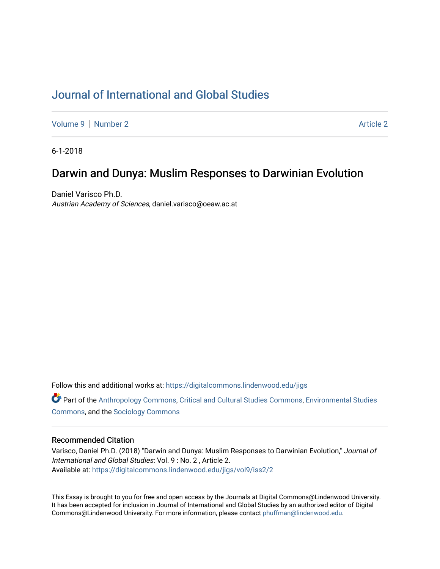# [Journal of International and Global Studies](https://digitalcommons.lindenwood.edu/jigs)

[Volume 9](https://digitalcommons.lindenwood.edu/jigs/vol9) | [Number 2](https://digitalcommons.lindenwood.edu/jigs/vol9/iss2) Article 2

6-1-2018

# Darwin and Dunya: Muslim Responses to Darwinian Evolution

Daniel Varisco Ph.D. Austrian Academy of Sciences, daniel.varisco@oeaw.ac.at

Follow this and additional works at: [https://digitalcommons.lindenwood.edu/jigs](https://digitalcommons.lindenwood.edu/jigs?utm_source=digitalcommons.lindenwood.edu%2Fjigs%2Fvol9%2Fiss2%2F2&utm_medium=PDF&utm_campaign=PDFCoverPages) 

**C** Part of the [Anthropology Commons](http://network.bepress.com/hgg/discipline/318?utm_source=digitalcommons.lindenwood.edu%2Fjigs%2Fvol9%2Fiss2%2F2&utm_medium=PDF&utm_campaign=PDFCoverPages), [Critical and Cultural Studies Commons](http://network.bepress.com/hgg/discipline/328?utm_source=digitalcommons.lindenwood.edu%2Fjigs%2Fvol9%2Fiss2%2F2&utm_medium=PDF&utm_campaign=PDFCoverPages), Environmental Studies [Commons](http://network.bepress.com/hgg/discipline/1333?utm_source=digitalcommons.lindenwood.edu%2Fjigs%2Fvol9%2Fiss2%2F2&utm_medium=PDF&utm_campaign=PDFCoverPages), and the [Sociology Commons](http://network.bepress.com/hgg/discipline/416?utm_source=digitalcommons.lindenwood.edu%2Fjigs%2Fvol9%2Fiss2%2F2&utm_medium=PDF&utm_campaign=PDFCoverPages)

# Recommended Citation

Varisco, Daniel Ph.D. (2018) "Darwin and Dunya: Muslim Responses to Darwinian Evolution," Journal of International and Global Studies: Vol. 9 : No. 2 , Article 2. Available at: [https://digitalcommons.lindenwood.edu/jigs/vol9/iss2/2](https://digitalcommons.lindenwood.edu/jigs/vol9/iss2/2?utm_source=digitalcommons.lindenwood.edu%2Fjigs%2Fvol9%2Fiss2%2F2&utm_medium=PDF&utm_campaign=PDFCoverPages)

This Essay is brought to you for free and open access by the Journals at Digital Commons@Lindenwood University. It has been accepted for inclusion in Journal of International and Global Studies by an authorized editor of Digital Commons@Lindenwood University. For more information, please contact [phuffman@lindenwood.edu](mailto:phuffman@lindenwood.edu).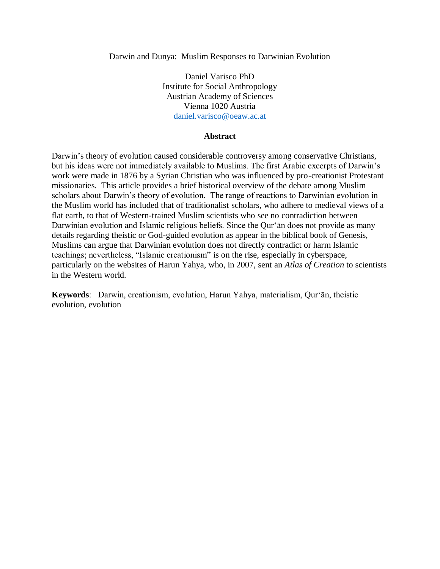Darwin and Dunya: Muslim Responses to Darwinian Evolution

Daniel Varisco PhD Institute for Social Anthropology Austrian Academy of Sciences Vienna 1020 Austria [daniel.varisco@oeaw.ac.at](mailto:daniel.varisco@oeaw.ac.at)

## **Abstract**

Darwin's theory of evolution caused considerable controversy among conservative Christians, but his ideas were not immediately available to Muslims. The first Arabic excerpts of Darwin's work were made in 1876 by a Syrian Christian who was influenced by pro-creationist Protestant missionaries. This article provides a brief historical overview of the debate among Muslim scholars about Darwin's theory of evolution. The range of reactions to Darwinian evolution in the Muslim world has included that of traditionalist scholars, who adhere to medieval views of a flat earth, to that of Western-trained Muslim scientists who see no contradiction between Darwinian evolution and Islamic religious beliefs. Since the Qur'ān does not provide as many details regarding theistic or God-guided evolution as appear in the biblical book of Genesis, Muslims can argue that Darwinian evolution does not directly contradict or harm Islamic teachings; nevertheless, "Islamic creationism" is on the rise, especially in cyberspace, particularly on the websites of Harun Yahya, who, in 2007, sent an *Atlas of Creation* to scientists in the Western world.

**Keywords**: Darwin, creationism, evolution, Harun Yahya, materialism, Qur'ān, theistic evolution, evolution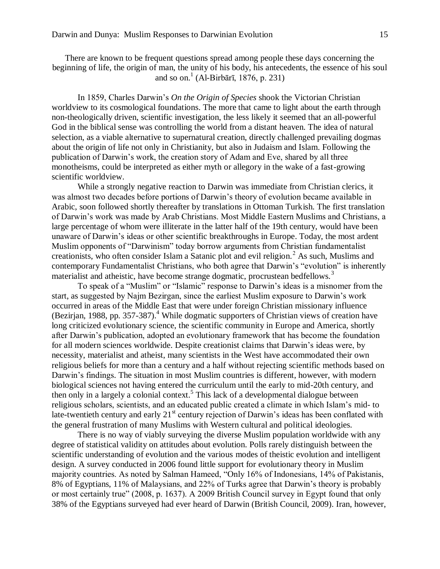There are known to be frequent questions spread among people these days concerning the beginning of life, the origin of man, the unity of his body, his antecedents, the essence of his soul and so on.<sup>1</sup> (Al-Birbārī, 1876, p. 231)

In 1859, Charles Darwin's *On the Origin of Species* shook the Victorian Christian worldview to its cosmological foundations. The more that came to light about the earth through non-theologically driven, scientific investigation, the less likely it seemed that an all-powerful God in the biblical sense was controlling the world from a distant heaven. The idea of natural selection, as a viable alternative to supernatural creation, directly challenged prevailing dogmas about the origin of life not only in Christianity, but also in Judaism and Islam. Following the publication of Darwin's work, the creation story of Adam and Eve, shared by all three monotheisms, could be interpreted as either myth or allegory in the wake of a fast-growing scientific worldview.

While a strongly negative reaction to Darwin was immediate from Christian clerics, it was almost two decades before portions of Darwin's theory of evolution became available in Arabic, soon followed shortly thereafter by translations in Ottoman Turkish. The first translation of Darwin's work was made by Arab Christians. Most Middle Eastern Muslims and Christians, a large percentage of whom were illiterate in the latter half of the 19th century, would have been unaware of Darwin's ideas or other scientific breakthroughs in Europe. Today, the most ardent Muslim opponents of "Darwinism" today borrow arguments from Christian fundamentalist creationists, who often consider Islam a Satanic plot and evil religion.<sup>2</sup> As such, Muslims and contemporary Fundamentalist Christians, who both agree that Darwin's "evolution" is inherently materialist and atheistic, have become strange dogmatic, procrustean bedfellows.<sup>3</sup>

To speak of a "Muslim" or "Islamic" response to Darwin's ideas is a misnomer from the start, as suggested by Najm Bezirgan, since the earliest Muslim exposure to Darwin's work occurred in areas of the Middle East that were under foreign Christian missionary influence (Bezirjan, 1988, pp. 357-387).<sup>4</sup> While dogmatic supporters of Christian views of creation have long criticized evolutionary science, the scientific community in Europe and America, shortly after Darwin's publication, adopted an evolutionary framework that has become the foundation for all modern sciences worldwide. Despite creationist claims that Darwin's ideas were, by necessity, materialist and atheist, many scientists in the West have accommodated their own religious beliefs for more than a century and a half without rejecting scientific methods based on Darwin's findings. The situation in most Muslim countries is different, however, with modern biological sciences not having entered the curriculum until the early to mid-20th century, and then only in a largely a colonial context.<sup>5</sup> This lack of a developmental dialogue between religious scholars, scientists, and an educated public created a climate in which Islam's mid- to late-twentieth century and early  $21<sup>st</sup>$  century rejection of Darwin's ideas has been conflated with the general frustration of many Muslims with Western cultural and political ideologies.

There is no way of viably surveying the diverse Muslim population worldwide with any degree of statistical validity on attitudes about evolution. Polls rarely distinguish between the scientific understanding of evolution and the various modes of theistic evolution and intelligent design. A survey conducted in 2006 found little support for evolutionary theory in Muslim majority countries. As noted by Salman Hameed, "Only 16% of Indonesians, 14% of Pakistanis, 8% of Egyptians, 11% of Malaysians, and 22% of Turks agree that Darwin's theory is probably or most certainly true" (2008, p. 1637). A 2009 British Council survey in Egypt found that only 38% of the Egyptians surveyed had ever heard of Darwin (British Council, 2009). Iran, however,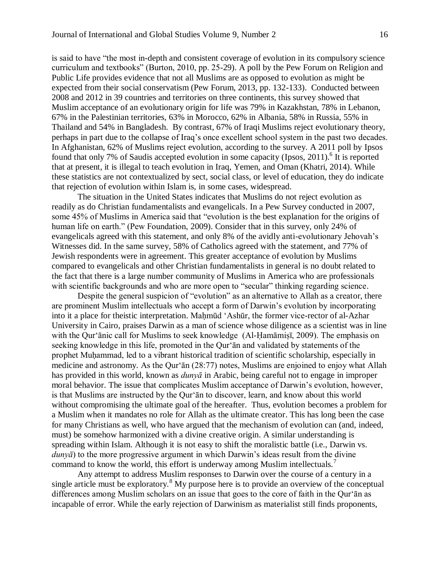is said to have "the most in-depth and consistent coverage of evolution in its compulsory science curriculum and textbooks" (Burton, 2010, pp. 25-29). A poll by the Pew Forum on Religion and Public Life provides evidence that not all Muslims are as opposed to evolution as might be expected from their social conservatism (Pew Forum, 2013, pp. 132-133). Conducted between 2008 and 2012 in 39 countries and territories on three continents, this survey showed that Muslim acceptance of an evolutionary origin for life was 79% in Kazakhstan, 78% in Lebanon, 67% in the Palestinian territories, 63% in Morocco, 62% in Albania, 58% in Russia, 55% in Thailand and 54% in Bangladesh. By contrast, 67% of Iraqi Muslims reject evolutionary theory, perhaps in part due to the collapse of Iraq's once excellent school system in the past two decades. In Afghanistan, 62% of Muslims reject evolution, according to the survey. A 2011 poll by Ipsos found that only 7% of Saudis accepted evolution in some capacity (Ipsos, 2011).<sup>6</sup> It is reported that at present, it is illegal to teach evolution in Iraq, Yemen, and Oman (Khatri, 2014). While these statistics are not contextualized by sect, social class, or level of education, they do indicate that rejection of evolution within Islam is, in some cases, widespread.

The situation in the United States indicates that Muslims do not reject evolution as readily as do Christian fundamentalists and evangelicals. In a Pew Survey conducted in 2007, some 45% of Muslims in America said that "evolution is the best explanation for the origins of human life on earth." (Pew Foundation, 2009). Consider that in this survey, only 24% of evangelicals agreed with this statement, and only 8% of the avidly anti-evolutionary Jehovah's Witnesses did. In the same survey, 58% of Catholics agreed with the statement, and 77% of Jewish respondents were in agreement. This greater acceptance of evolution by Muslims compared to evangelicals and other Christian fundamentalists in general is no doubt related to the fact that there is a large number community of Muslims in America who are professionals with scientific backgrounds and who are more open to "secular" thinking regarding science.

Despite the general suspicion of "evolution" as an alternative to Allah as a creator, there are prominent Muslim intellectuals who accept a form of Darwin's evolution by incorporating into it a place for theistic interpretation. Maḥmūd 'Ashūr, the former vice-rector of al-Azhar University in Cairo, praises Darwin as a man of science whose diligence as a scientist was in line with the Qur'ānic call for Muslims to seek knowledge (Al-Ḥamāmiṣī, 2009). The emphasis on seeking knowledge in this life, promoted in the Qur'ān and validated by statements of the prophet Muḥammad, led to a vibrant historical tradition of scientific scholarship, especially in medicine and astronomy. As the Qur'ān (28:77) notes, Muslims are enjoined to enjoy what Allah has provided in this world, known as *dunyā* in Arabic, being careful not to engage in improper moral behavior. The issue that complicates Muslim acceptance of Darwin's evolution, however, is that Muslims are instructed by the Qur'ān to discover, learn, and know about this world without compromising the ultimate goal of the hereafter. Thus, evolution becomes a problem for a Muslim when it mandates no role for Allah as the ultimate creator. This has long been the case for many Christians as well, who have argued that the mechanism of evolution can (and, indeed, must) be somehow harmonized with a divine creative origin. A similar understanding is spreading within Islam. Although it is not easy to shift the moralistic battle (i.e., Darwin vs. *dunyā*) to the more progressive argument in which Darwin's ideas result from the divine command to know the world, this effort is underway among Muslim intellectuals.<sup>7</sup>

Any attempt to address Muslim responses to Darwin over the course of a century in a single article must be exploratory.<sup>8</sup> My purpose here is to provide an overview of the conceptual differences among Muslim scholars on an issue that goes to the core of faith in the Qur'ān as incapable of error. While the early rejection of Darwinism as materialist still finds proponents,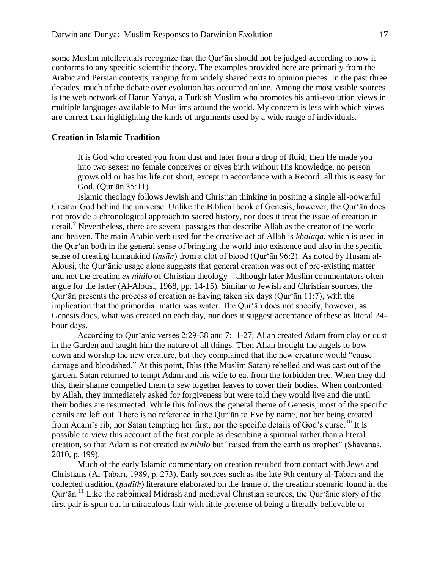some Muslim intellectuals recognize that the Qur'ān should not be judged according to how it conforms to any specific scientific theory. The examples provided here are primarily from the Arabic and Persian contexts, ranging from widely shared texts to opinion pieces. In the past three decades, much of the debate over evolution has occurred online. Among the most visible sources is the web network of Harun Yahya, a Turkish Muslim who promotes his anti-evolution views in multiple languages available to Muslims around the world. My concern is less with which views are correct than highlighting the kinds of arguments used by a wide range of individuals.

#### **Creation in Islamic Tradition**

It is God who created you from dust and later from a drop of fluid; then He made you into two sexes: no female conceives or gives birth without His knowledge, no person grows old or has his life cut short, except in accordance with a Record: all this is easy for God. (Qur'ān 35:11)

Islamic theology follows Jewish and Christian thinking in positing a single all-powerful Creator God behind the universe. Unlike the Biblical book of Genesis, however, the Qur'ān does not provide a chronological approach to sacred history, nor does it treat the issue of creation in detail. <sup>9</sup> Nevertheless, there are several passages that describe Allah as the creator of the world and heaven. The main Arabic verb used for the creative act of Allah is *khalaqa*, which is used in the Qur'ān both in the general sense of bringing the world into existence and also in the specific sense of creating humankind (*insān*) from a clot of blood (Qur'ān 96:2). As noted by Husam al-Alousi, the Qur'ānic usage alone suggests that general creation was out of pre-existing matter and not the creation *ex nihilo* of Christian theology—although later Muslim commentators often argue for the latter (Al-Alousi, 1968, pp. 14-15). Similar to Jewish and Christian sources, the Qur'ān presents the process of creation as having taken six days (Qur'ān 11:7), with the implication that the primordial matter was water. The Qur'ān does not specify, however, as Genesis does, what was created on each day, nor does it suggest acceptance of these as literal 24 hour days.

According to Qur'ānic verses 2:29-38 and 7:11-27, Allah created Adam from clay or dust in the Garden and taught him the nature of all things. Then Allah brought the angels to bow down and worship the new creature, but they complained that the new creature would "cause damage and bloodshed." At this point, Iblīs (the Muslim Satan) rebelled and was cast out of the garden. Satan returned to tempt Adam and his wife to eat from the forbidden tree. When they did this, their shame compelled them to sew together leaves to cover their bodies. When confronted by Allah, they immediately asked for forgiveness but were told they would live and die until their bodies are resurrected. While this follows the general theme of Genesis, most of the specific details are left out. There is no reference in the Qur'ān to Eve by name, nor her being created from Adam's rib, nor Satan tempting her first, nor the specific details of God's curse.<sup>10</sup> It is possible to view this account of the first couple as describing a spiritual rather than a literal creation, so that Adam is not created *ex nihilo* but "raised from the earth as prophet" (Shavanas, 2010, p. 199).

Much of the early Islamic commentary on creation resulted from contact with Jews and Christians (Al-Ṭabarī, 1989, p. 273). Early sources such as the late 9th century al-Ṭabarī and the collected tradition (*ḥadīth*) literature elaborated on the frame of the creation scenario found in the Qur'ān.<sup>11</sup> Like the rabbinical Midrash and medieval Christian sources, the Qur'ānic story of the first pair is spun out in miraculous flair with little pretense of being a literally believable or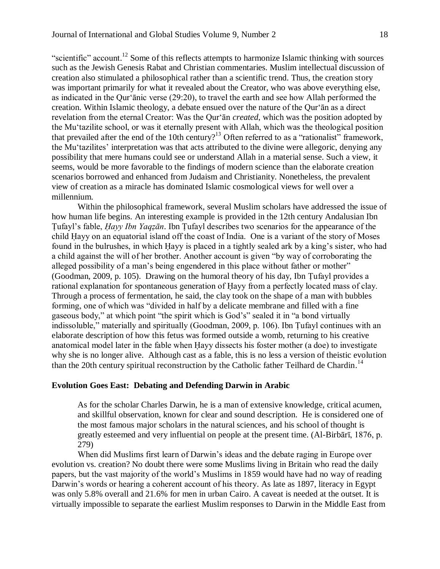"scientific" account.<sup>12</sup> Some of this reflects attempts to harmonize Islamic thinking with sources such as the Jewish Genesis Rabat and Christian commentaries. Muslim intellectual discussion of creation also stimulated a philosophical rather than a scientific trend. Thus, the creation story was important primarily for what it revealed about the Creator, who was above everything else, as indicated in the Qur'ānic verse (29:20), to travel the earth and see how Allah performed the creation. Within Islamic theology, a debate ensued over the nature of the Qur'ān as a direct revelation from the eternal Creator: Was the Qur'ān *created*, which was the position adopted by the Mu'tazilite school, or was it eternally present with Allah, which was the theological position that prevailed after the end of the 10th century?<sup>13</sup> Often referred to as a "rationalist" framework, the Mu'tazilites' interpretation was that acts attributed to the divine were allegoric, denying any possibility that mere humans could see or understand Allah in a material sense. Such a view, it seems, would be more favorable to the findings of modern science than the elaborate creation scenarios borrowed and enhanced from Judaism and Christianity. Nonetheless, the prevalent view of creation as a miracle has dominated Islamic cosmological views for well over a millennium.

Within the philosophical framework, several Muslim scholars have addressed the issue of how human life begins. An interesting example is provided in the 12th century Andalusian Ibn Ṭufayl's fable, *Ḥayy Ibn Yaqẓān*. Ibn Ṭufayl describes two scenarios for the appearance of the child Ḥayy on an equatorial island off the coast of India. One is a variant of the story of Moses found in the bulrushes, in which Ḥayy is placed in a tightly sealed ark by a king's sister, who had a child against the will of her brother. Another account is given "by way of corroborating the alleged possibility of a man's being engendered in this place without father or mother" (Goodman, 2009, p. 105). Drawing on the humoral theory of his day, Ibn Ṭufayl provides a rational explanation for spontaneous generation of Ḥayy from a perfectly located mass of clay. Through a process of fermentation, he said, the clay took on the shape of a man with bubbles forming, one of which was "divided in half by a delicate membrane and filled with a fine gaseous body," at which point "the spirit which is God's" sealed it in "a bond virtually indissoluble," materially and spiritually (Goodman, 2009, p. 106). Ibn Ṭufayl continues with an elaborate description of how this fetus was formed outside a womb, returning to his creative anatomical model later in the fable when Ḥayy dissects his foster mother (a doe) to investigate why she is no longer alive. Although cast as a fable, this is no less a version of theistic evolution than the 20th century spiritual reconstruction by the Catholic father Teilhard de Chardin.<sup>14</sup>

#### **Evolution Goes East: Debating and Defending Darwin in Arabic**

As for the scholar Charles Darwin, he is a man of extensive knowledge, critical acumen, and skillful observation, known for clear and sound description. He is considered one of the most famous major scholars in the natural sciences, and his school of thought is greatly esteemed and very influential on people at the present time. (Al-Birbārī, 1876, p. 279)

When did Muslims first learn of Darwin's ideas and the debate raging in Europe over evolution vs. creation? No doubt there were some Muslims living in Britain who read the daily papers, but the vast majority of the world's Muslims in 1859 would have had no way of reading Darwin's words or hearing a coherent account of his theory. As late as 1897, literacy in Egypt was only 5.8% overall and 21.6% for men in urban Cairo. A caveat is needed at the outset. It is virtually impossible to separate the earliest Muslim responses to Darwin in the Middle East from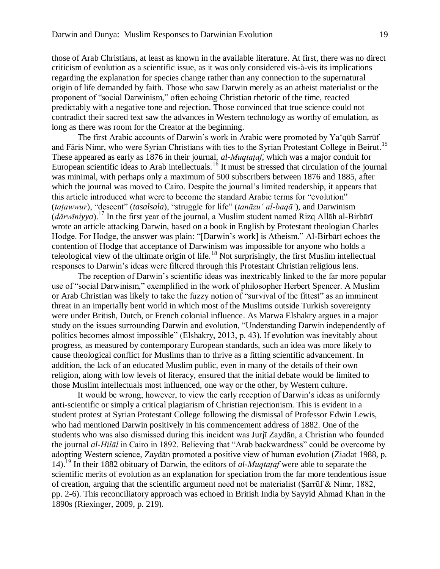those of Arab Christians, at least as known in the available literature. At first, there was no direct criticism of evolution as a scientific issue, as it was only considered vis-à-vis its implications regarding the explanation for species change rather than any connection to the supernatural origin of life demanded by faith. Those who saw Darwin merely as an atheist materialist or the proponent of "social Darwinism," often echoing Christian rhetoric of the time, reacted predictably with a negative tone and rejection. Those convinced that true science could not contradict their sacred text saw the advances in Western technology as worthy of emulation, as long as there was room for the Creator at the beginning.

The first Arabic accounts of Darwin's work in Arabic were promoted by Ya'qub Sarruf and Fāris Nimr, who were Syrian Christians with ties to the Syrian Protestant College in Beirut.<sup>15</sup> These appeared as early as 1876 in their journal, *al-Muqtaṭaf*, which was a major conduit for European scientific ideas to Arab intellectuals.<sup>16</sup> It must be stressed that circulation of the journal was minimal, with perhaps only a maximum of 500 subscribers between 1876 and 1885, after which the journal was moved to Cairo. Despite the journal's limited readership, it appears that this article introduced what were to become the standard Arabic terms for "evolution" (*taṭawwur*), "descent" (*tasalsala*), "struggle for life" (*tanāzu' al-baqā'*), and Darwinism (*dārwīniyya*). <sup>17</sup> In the first year of the journal, a Muslim student named Rizq Allāh al-Birbārī wrote an article attacking Darwin, based on a book in English by Protestant theologian Charles Hodge. For Hodge, the answer was plain: "[Darwin's work] is Atheism." Al-Birbārī echoes the contention of Hodge that acceptance of Darwinism was impossible for anyone who holds a teleological view of the ultimate origin of life.<sup>18</sup> Not surprisingly, the first Muslim intellectual responses to Darwin's ideas were filtered through this Protestant Christian religious lens.

The reception of Darwin's scientific ideas was inextricably linked to the far more popular use of "social Darwinism," exemplified in the work of philosopher Herbert Spencer. A Muslim or Arab Christian was likely to take the fuzzy notion of "survival of the fittest" as an imminent threat in an imperially bent world in which most of the Muslims outside Turkish sovereignty were under British, Dutch, or French colonial influence. As Marwa Elshakry argues in a major study on the issues surrounding Darwin and evolution, "Understanding Darwin independently of politics becomes almost impossible" (Elshakry, 2013, p. 43). If evolution was inevitably about progress, as measured by contemporary European standards, such an idea was more likely to cause theological conflict for Muslims than to thrive as a fitting scientific advancement. In addition, the lack of an educated Muslim public, even in many of the details of their own religion, along with low levels of literacy, ensured that the initial debate would be limited to those Muslim intellectuals most influenced, one way or the other, by Western culture.

It would be wrong, however, to view the early reception of Darwin's ideas as uniformly anti-scientific or simply a critical plagiarism of Christian rejectionism. This is evident in a student protest at Syrian Protestant College following the dismissal of Professor Edwin Lewis, who had mentioned Darwin positively in his commencement address of 1882. One of the students who was also dismissed during this incident was Jurjī Zaydān, a Christian who founded the journal *al-Hilāl* in Cairo in 1892. Believing that "Arab backwardness" could be overcome by adopting Western science, Zaydān promoted a positive view of human evolution (Ziadat 1988, p. 14).<sup>19</sup> In their 1882 obituary of Darwin, the editors of *al-Muqtaṭaf* were able to separate the scientific merits of evolution as an explanation for speciation from the far more tendentious issue of creation, arguing that the scientific argument need not be materialist (Sarrūf & Nimr, 1882, pp. 2-6). This reconciliatory approach was echoed in British India by Sayyid Ahmad Khan in the 1890s (Riexinger, 2009, p. 219).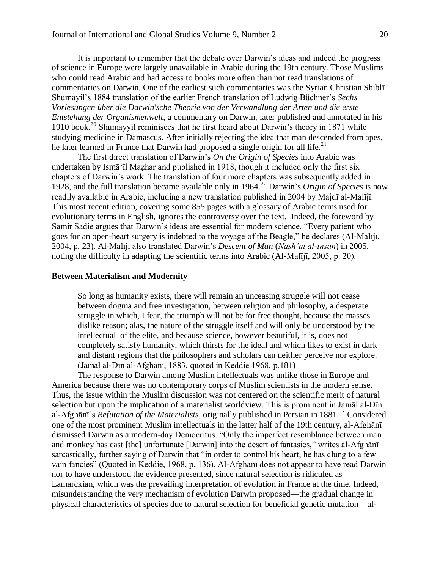It is important to remember that the debate over Darwin's ideas and indeed the progress of science in Europe were largely unavailable in Arabic during the 19th century. Those Muslims who could read Arabic and had access to books more often than not read translations of commentaries on Darwin. One of the earliest such commentaries was the Syrian Christian Shiblī Shumayil's 1884 translation of the earlier French translation of Ludwig Büchner's *Sechs Vorlesungen über die Darwin'sche Theorie von der Verwandlung der Arten und die erste Entstehung der Organismenwelt*, a commentary on Darwin, later published and annotated in his 1910 book.<sup>20</sup> Shumayyil reminisces that he first heard about Darwin's theory in 1871 while studying medicine in Damascus. After initially rejecting the idea that man descended from apes, he later learned in France that Darwin had proposed a single origin for all life.<sup>21</sup>

The first direct translation of Darwin's *On the Origin of Species* into Arabic was undertaken by Ismā'īl Maẓhar and published in 1918, though it included only the first six chapters of Darwin's work. The translation of four more chapters was subsequently added in 1928, and the full translation became available only in 1964.<sup>22</sup> Darwin's *Origin of Species* is now readily available in Arabic, including a new translation published in 2004 by Majdī al-Malījī. This most recent edition, covering some 855 pages with a glossary of Arabic terms used for evolutionary terms in English, ignores the controversy over the text. Indeed, the foreword by Samir Sadie argues that Darwin's ideas are essential for modern science. "Every patient who goes for an open-heart surgery is indebted to the voyage of the Beagle," he declares (Al-Malījī, 2004, p. 23). Al-Malījī also translated Darwin's *Descent of Man* (*Nash'at al-insān*) in 2005, noting the difficulty in adapting the scientific terms into Arabic (Al-Malījī, 2005, p. 20).

#### **Between Materialism and Modernity**

So long as humanity exists, there will remain an unceasing struggle will not cease between dogma and free investigation, between religion and philosophy, a desperate struggle in which, I fear, the triumph will not be for free thought, because the masses dislike reason; alas, the nature of the struggle itself and will only be understood by the intellectual of the elite, and because science, however beautiful, it is, does not completely satisfy humanity, which thirsts for the ideal and which likes to exist in dark and distant regions that the philosophers and scholars can neither perceive nor explore. (Jamāl al-Dīn al-Afghānī, 1883, quoted in Keddie 1968, p.181)

The response to Darwin among Muslim intellectuals was unlike those in Europe and America because there was no contemporary corps of Muslim scientists in the modern sense. Thus, the issue within the Muslim discussion was not centered on the scientific merit of natural selection but upon the implication of a materialist worldview. This is prominent in Jamāl al-Dīn al-Afghānī's *Refutation of the Materialists*, originally published in Persian in 1881.<sup>23</sup> Considered one of the most prominent Muslim intellectuals in the latter half of the 19th century, al-Afghānī dismissed Darwin as a modern-day Democritus. "Only the imperfect resemblance between man and monkey has cast [the] unfortunate [Darwin] into the desert of fantasies," writes al-Afghānī sarcastically, further saying of Darwin that "in order to control his heart, he has clung to a few vain fancies" (Quoted in Keddie, 1968, p. 136). Al-Afghānī does not appear to have read Darwin nor to have understood the evidence presented, since natural selection is ridiculed as Lamarckian, which was the prevailing interpretation of evolution in France at the time. Indeed, misunderstanding the very mechanism of evolution Darwin proposed—the gradual change in physical characteristics of species due to natural selection for beneficial genetic mutation—al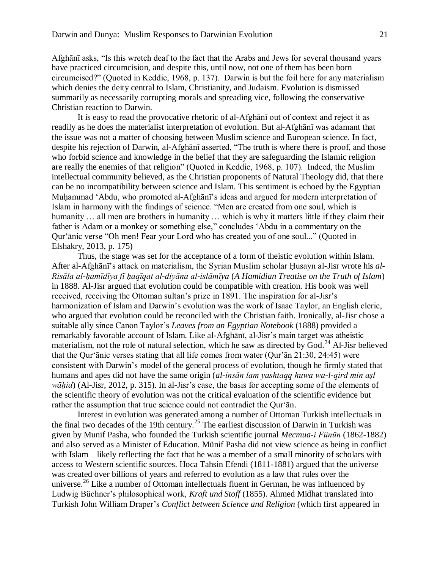Afghānī asks, "Is this wretch deaf to the fact that the Arabs and Jews for several thousand years have practiced circumcision, and despite this, until now, not one of them has been born circumcised?" (Quoted in Keddie, 1968, p. 137). Darwin is but the foil here for any materialism which denies the deity central to Islam, Christianity, and Judaism. Evolution is dismissed summarily as necessarily corrupting morals and spreading vice, following the conservative Christian reaction to Darwin.

It is easy to read the provocative rhetoric of al-Afghānī out of context and reject it as readily as he does the materialist interpretation of evolution. But al-Afghānī was adamant that the issue was not a matter of choosing between Muslim science and European science. In fact, despite his rejection of Darwin, al-Afghānī asserted, "The truth is where there is proof, and those who forbid science and knowledge in the belief that they are safeguarding the Islamic religion are really the enemies of that religion" (Quoted in Keddie, 1968, p. 107). Indeed, the Muslim intellectual community believed, as the Christian proponents of Natural Theology did, that there can be no incompatibility between science and Islam. This sentiment is echoed by the Egyptian Muhammad 'Abdu, who promoted al-Afghānī's ideas and argued for modern interpretation of Islam in harmony with the findings of science. "Men are created from one soul, which is humanity ... all men are brothers in humanity ... which is why it matters little if they claim their father is Adam or a monkey or something else," concludes 'Abdu in a commentary on the Qur'ānic verse "Oh men! Fear your Lord who has created you of one soul..." (Quoted in Elshakry, 2013, p. 175)

Thus, the stage was set for the acceptance of a form of theistic evolution within Islam. After al-Afghānī's attack on materialism, the Syrian Muslim scholar Ḥusayn al-Jisr wrote his *al-Risāla al-ḥamīdīya fī ḥaqīqat al-diyāna al-islāmīya* (*A Hamidian Treatise on the Truth of Islam*) in 1888. Al-Jisr argued that evolution could be compatible with creation. His book was well received, receiving the Ottoman sultan's prize in 1891. The inspiration for al-Jisr's harmonization of Islam and Darwin's evolution was the work of Isaac Taylor, an English cleric, who argued that evolution could be reconciled with the Christian faith. Ironically, al-Jisr chose a suitable ally since Canon Taylor's *Leaves from an Egyptian Notebook* (1888) provided a remarkably favorable account of Islam. Like al-Afghānī, al-Jisr's main target was atheistic materialism, not the role of natural selection, which he saw as directed by God.<sup>24</sup> Al-Jisr believed that the Qur'ānic verses stating that all life comes from water (Qur'ān 21:30, 24:45) were consistent with Darwin's model of the general process of evolution, though he firmly stated that humans and apes did not have the same origin (*al-insān lam yashtaqq huwa wa-l-qird min aṣl wāhid*) (Al-Jisr, 2012, p. 315). In al-Jisr's case, the basis for accepting some of the elements of the scientific theory of evolution was not the critical evaluation of the scientific evidence but rather the assumption that true science could not contradict the Qur'ān.

Interest in evolution was generated among a number of Ottoman Turkish intellectuals in the final two decades of the 19th century.<sup>25</sup> The earliest discussion of Darwin in Turkish was given by Munif Pasha, who founded the Turkish scientific journal *Mecmua-i Fünūn* (1862-1882) and also served as a Minister of Education. Münif Pasha did not view science as being in conflict with Islam—likely reflecting the fact that he was a member of a small minority of scholars with access to Western scientific sources. Hoca Tahsin Efendi (1811-1881) argued that the universe was created over billions of years and referred to evolution as a law that rules over the universe.<sup>26</sup> Like a number of Ottoman intellectuals fluent in German, he was influenced by Ludwig Büchner's philosophical work, *Kraft und Stoff* (1855). Ahmed Midhat translated into Turkish John William Draper's *Conflict between Science and Religion* (which first appeared in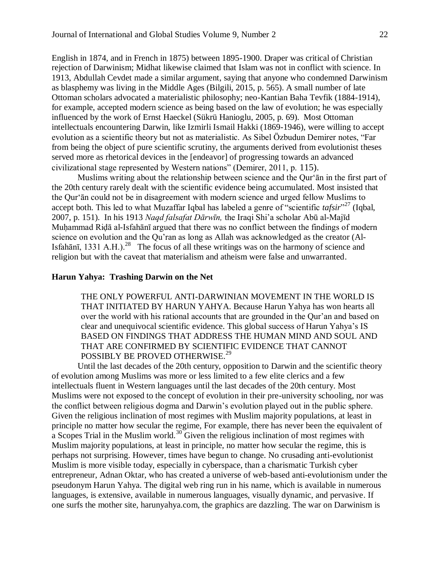English in 1874, and in French in 1875) between 1895-1900. Draper was critical of Christian rejection of Darwinism; Midhat likewise claimed that Islam was not in conflict with science. In 1913, Abdullah Cevdet made a similar argument, saying that anyone who condemned Darwinism as blasphemy was living in the Middle Ages (Bilgili, 2015, p. 565). A small number of late Ottoman scholars advocated a materialistic philosophy; neo-Kantian Baha Tevfik (1884-1914), for example, accepted modern science as being based on the law of evolution; he was especially influenced by the work of Ernst Haeckel (Sükrü Hanioglu, 2005, p. 69). Most Ottoman intellectuals encountering Darwin, like Izmirli Ismail Hakki (1869-1946), were willing to accept evolution as a scientific theory but not as materialistic. As Sibel Özbudun Demirer notes, "Far from being the object of pure scientific scrutiny, the arguments derived from evolutionist theses served more as rhetorical devices in the [endeavor] of progressing towards an advanced civilizational stage represented by Western nations" (Demirer, 2011, p. 115).

Muslims writing about the relationship between science and the Qur'ān in the first part of the 20th century rarely dealt with the scientific evidence being accumulated. Most insisted that the Qur'ān could not be in disagreement with modern science and urged fellow Muslims to accept both. This led to what Muzaffar Iqbal has labeled a genre of "scientific *tafsir*"<sup>27</sup> (Iqbal, 2007, p. 151). In his 1913 *Naqd falsafat Dārwīn,* the Iraqi Shi'a scholar Abū al-Majīd Muhammad Ridā al-Isfahānī argued that there was no conflict between the findings of modern science on evolution and the Qu'ran as long as Allah was acknowledged as the creator (Al-Isfahānī, 1331 A.H.).<sup>28</sup> The focus of all these writings was on the harmony of science and religion but with the caveat that materialism and atheism were false and unwarranted.

#### **Harun Yahya: Trashing Darwin on the Net**

THE ONLY POWERFUL ANTI-DARWINIAN MOVEMENT IN THE WORLD IS THAT INITIATED BY HARUN YAHYA. Because Harun Yahya has won hearts all over the world with his rational accounts that are grounded in the Qur'an and based on clear and unequivocal scientific evidence. This global success of Harun Yahya's IS BASED ON FINDINGS THAT ADDRESS THE HUMAN MIND AND SOUL AND THAT ARE CONFIRMED BY SCIENTIFIC EVIDENCE THAT CANNOT POSSIBLY BE PROVED OTHERWISE.<sup>29</sup>

Until the last decades of the 20th century, opposition to Darwin and the scientific theory of evolution among Muslims was more or less limited to a few elite clerics and a few intellectuals fluent in Western languages until the last decades of the 20th century. Most Muslims were not exposed to the concept of evolution in their pre-university schooling, nor was the conflict between religious dogma and Darwin's evolution played out in the public sphere. Given the religious inclination of most regimes with Muslim majority populations, at least in principle no matter how secular the regime, For example, there has never been the equivalent of a Scopes Trial in the Muslim world.<sup>30</sup> Given the religious inclination of most regimes with Muslim majority populations, at least in principle, no matter how secular the regime, this is perhaps not surprising. However, times have begun to change. No crusading anti-evolutionist Muslim is more visible today, especially in cyberspace, than a charismatic Turkish cyber entrepreneur, Adnan Oktar, who has created a universe of web-based anti-evolutionism under the pseudonym Harun Yahya. The digital web ring run in his name, which is available in numerous languages, is extensive, available in numerous languages, visually dynamic, and pervasive. If one surfs the mother site, harunyahya.com, the graphics are dazzling. The war on Darwinism is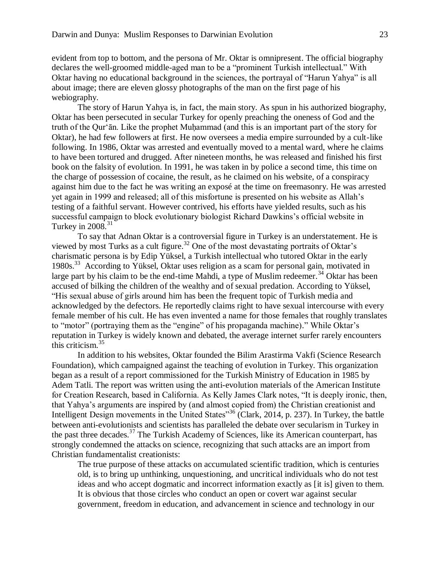evident from top to bottom, and the persona of Mr. Oktar is omnipresent. The official biography declares the well-groomed middle-aged man to be a "prominent Turkish intellectual." With Oktar having no educational background in the sciences, the portrayal of "Harun Yahya" is all about image; there are eleven glossy photographs of the man on the first page of his webiography.

The story of Harun Yahya is, in fact, the main story. As spun in his authorized biography, Oktar has been persecuted in secular Turkey for openly preaching the oneness of God and the truth of the Qur'ān. Like the prophet Muḥammad (and this is an important part of the story for Oktar), he had few followers at first. He now oversees a media empire surrounded by a cult-like following. In 1986, Oktar was arrested and eventually moved to a mental ward, where he claims to have been tortured and drugged. After nineteen months, he was released and finished his first book on the falsity of evolution. In 1991, he was taken in by police a second time, this time on the charge of possession of cocaine, the result, as he claimed on his website, of a conspiracy against him due to the fact he was writing an exposé at the time on freemasonry. He was arrested yet again in 1999 and released; all of this misfortune is presented on his website as Allah's testing of a faithful servant. However contrived, his efforts have yielded results, such as his successful campaign to block evolutionary biologist Richard Dawkins's official website in Turkey in  $2008.<sup>31</sup>$ 

To say that Adnan Oktar is a controversial figure in Turkey is an understatement. He is viewed by most Turks as a cult figure.<sup>32</sup> One of the most devastating portraits of Oktar's charismatic persona is by Edip Yüksel, a Turkish intellectual who tutored Oktar in the early 1980s.<sup>33</sup> According to Yüksel, Oktar uses religion as a scam for personal gain, motivated in large part by his claim to be the end-time Mahdi, a type of Muslim redeemer.<sup>34</sup> Oktar has been accused of bilking the children of the wealthy and of sexual predation. According to Yüksel, "His sexual abuse of girls around him has been the frequent topic of Turkish media and acknowledged by the defectors. He reportedly claims right to have sexual intercourse with every female member of his cult. He has even invented a name for those females that roughly translates to "motor" (portraying them as the "engine" of his propaganda machine)." While Oktar's reputation in Turkey is widely known and debated, the average internet surfer rarely encounters this criticism. 35

In addition to his websites, Oktar founded the Bilim Arastirma Vakfi (Science Research Foundation), which campaigned against the teaching of evolution in Turkey. This organization began as a result of a report commissioned for the Turkish Ministry of Education in 1985 by Adem Tatli. The report was written using the anti-evolution materials of the American Institute for Creation Research, based in California. As Kelly James Clark notes, "It is deeply ironic, then, that Yahya's arguments are inspired by (and almost copied from) the Christian creationist and Intelligent Design movements in the United States<sup>36</sup> (Clark, 2014, p. 237). In Turkey, the battle between anti-evolutionists and scientists has paralleled the debate over secularism in Turkey in the past three decades.<sup>37</sup> The Turkish Academy of Sciences, like its American counterpart, has strongly condemned the attacks on science, recognizing that such attacks are an import from Christian fundamentalist creationists:

The true purpose of these attacks on accumulated scientific tradition, which is centuries old, is to bring up unthinking, unquestioning, and uncritical individuals who do not test ideas and who accept dogmatic and incorrect information exactly as [it is] given to them. It is obvious that those circles who conduct an open or covert war against secular government, freedom in education, and advancement in science and technology in our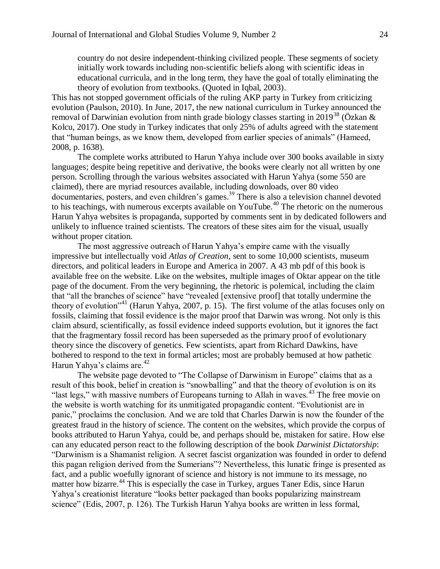country do not desire independent-thinking civilized people. These segments of society initially work towards including non-scientific beliefs along with scientific ideas in educational curricula, and in the long term, they have the goal of totally eliminating the theory of evolution from textbooks. (Quoted in Iqbal, 2003).

This has not stopped government officials of the ruling AKP party in Turkey from criticizing evolution (Paulson, 2010). In June, 2017, the new national curriculum in Turkey announced the removal of Darwinian evolution from ninth grade biology classes starting in 2019<sup>38</sup> (Özkan  $\&$ Kolcu, 2017). One study in Turkey indicates that only 25% of adults agreed with the statement that "human beings, as we know them, developed from earlier species of animals" (Hameed, 2008, p. 1638).

The complete works attributed to Harun Yahya include over 300 books available in sixty languages; despite being repetitive and derivative, the books were clearly not all written by one person. Scrolling through the various websites associated with Harun Yahya (some 550 are claimed), there are myriad resources available, including downloads, over 80 video documentaries, posters, and even children's games.<sup>39</sup> There is also a television channel devoted to his teachings, with numerous excerpts available on YouTube.<sup>40</sup> The rhetoric on the numerous Harun Yahya websites is propaganda, supported by comments sent in by dedicated followers and unlikely to influence trained scientists. The creators of these sites aim for the visual, usually without proper citation.

The most aggressive outreach of Harun Yahya's empire came with the visually impressive but intellectually void *Atlas of Creation*, sent to some 10,000 scientists, museum directors, and political leaders in Europe and America in 2007. A 43 mb pdf of this book is available free on the website. Like on the websites, multiple images of Oktar appear on the title page of the document. From the very beginning, the rhetoric is polemical, including the claim that "all the branches of science" have "revealed [extensive proof] that totally undermine the theory of evolution<sup> $1$ </sup><sup>41</sup> (Harun Yahya, 2007, p. 15). The first volume of the atlas focuses only on fossils, claiming that fossil evidence is the major proof that Darwin was wrong. Not only is this claim absurd, scientifically, as fossil evidence indeed supports evolution, but it ignores the fact that the fragmentary fossil record has been superseded as the primary proof of evolutionary theory since the discovery of genetics. Few scientists, apart from Richard Dawkins, have bothered to respond to the text in formal articles; most are probably bemused at how pathetic Harun Yahya's claims are. $42$ 

The website page devoted to "The Collapse of Darwinism in Europe" claims that as a result of this book, belief in creation is "snowballing" and that the theory of evolution is on its "last legs," with massive numbers of Europeans turning to Allah in waves.<sup>43</sup> The free movie on the website is worth watching for its unmitigated propagandic content. "Evolutionist are in panic," proclaims the conclusion. And we are told that Charles Darwin is now the founder of the greatest fraud in the history of science. The content on the websites, which provide the corpus of books attributed to Harun Yahya, could be, and perhaps should be, mistaken for satire. How else can any educated person react to the following description of the book *Darwinist Dictatorship*: "Darwinism is a Shamanist religion. A secret fascist organization was founded in order to defend this pagan religion derived from the Sumerians"? Nevertheless, this lunatic fringe is presented as fact, and a public woefully ignorant of science and history is not immune to its message, no matter how bizarre.<sup>44</sup> This is especially the case in Turkey, argues Taner Edis, since Harun Yahya's creationist literature "looks better packaged than books popularizing mainstream science" (Edis, 2007, p. 126). The Turkish Harun Yahya books are written in less formal,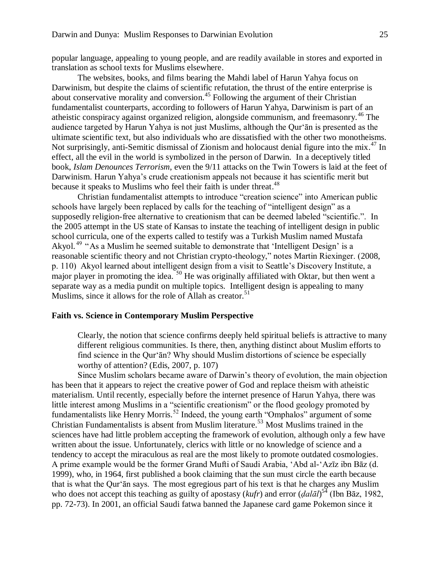popular language, appealing to young people, and are readily available in stores and exported in translation as school texts for Muslims elsewhere.

The websites, books, and films bearing the Mahdi label of Harun Yahya focus on Darwinism, but despite the claims of scientific refutation, the thrust of the entire enterprise is about conservative morality and conversion.<sup>45</sup> Following the argument of their Christian fundamentalist counterparts, according to followers of Harun Yahya, Darwinism is part of an atheistic conspiracy against organized religion, alongside communism, and freemasonry.<sup>46</sup> The audience targeted by Harun Yahya is not just Muslims, although the Qur'ān is presented as the ultimate scientific text, but also individuals who are dissatisfied with the other two monotheisms. Not surprisingly, anti-Semitic dismissal of Zionism and holocaust denial figure into the mix.<sup>47</sup> In effect, all the evil in the world is symbolized in the person of Darwin. In a deceptively titled book, *Islam Denounces Terrorism*, even the 9/11 attacks on the Twin Towers is laid at the feet of Darwinism. Harun Yahya's crude creationism appeals not because it has scientific merit but because it speaks to Muslims who feel their faith is under threat.<sup>48</sup>

Christian fundamentalist attempts to introduce "creation science" into American public schools have largely been replaced by calls for the teaching of "intelligent design" as a supposedly religion-free alternative to creationism that can be deemed labeled "scientific.". In the 2005 attempt in the US state of Kansas to instate the teaching of intelligent design in public school curricula, one of the experts called to testify was a Turkish Muslim named Mustafa Akyol.<sup>49</sup> "As a Muslim he seemed suitable to demonstrate that 'Intelligent Design' is a reasonable scientific theory and not Christian crypto-theology," notes Martin Riexinger. (2008, p. 110) Akyol learned about intelligent design from a visit to Seattle's Discovery Institute, a major player in promoting the idea. <sup>50</sup> He was originally affiliated with Oktar, but then went a separate way as a media pundit on multiple topics. Intelligent design is appealing to many Muslims, since it allows for the role of Allah as creator. $51$ 

#### **Faith vs. Science in Contemporary Muslim Perspective**

Clearly, the notion that science confirms deeply held spiritual beliefs is attractive to many different religious communities. Is there, then, anything distinct about Muslim efforts to find science in the Qur'ān? Why should Muslim distortions of science be especially worthy of attention? (Edis, 2007, p. 107)

Since Muslim scholars became aware of Darwin's theory of evolution, the main objection has been that it appears to reject the creative power of God and replace theism with atheistic materialism. Until recently, especially before the internet presence of Harun Yahya, there was little interest among Muslims in a "scientific creationism" or the flood geology promoted by fundamentalists like Henry Morris.<sup>52</sup> Indeed, the young earth "Omphalos" argument of some Christian Fundamentalists is absent from Muslim literature.<sup>53</sup> Most Muslims trained in the sciences have had little problem accepting the framework of evolution, although only a few have written about the issue. Unfortunately, clerics with little or no knowledge of science and a tendency to accept the miraculous as real are the most likely to promote outdated cosmologies. A prime example would be the former Grand Mufti of Saudi Arabia, 'Abd al-'Azīz ibn Bāz (d. 1999), who, in 1964, first published a book claiming that the sun must circle the earth because that is what the Qur'ān says. The most egregious part of his text is that he charges any Muslim who does not accept this teaching as guilty of apostasy (*kufr*) and error (*ḍalāl*) <sup>54</sup> (Ibn Bāz, 1982, pp. 72-73). In 2001, an official Saudi fatwa banned the Japanese card game Pokemon since it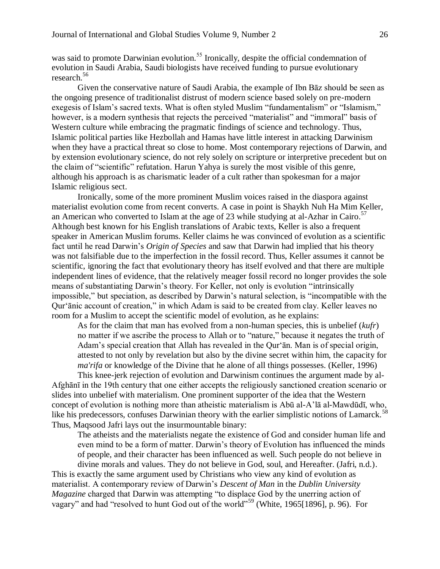was said to promote Darwinian evolution.<sup>55</sup> Ironically, despite the official condemnation of evolution in Saudi Arabia, Saudi biologists have received funding to pursue evolutionary research.<sup>56</sup>

Given the conservative nature of Saudi Arabia, the example of Ibn Bāz should be seen as the ongoing presence of traditionalist distrust of modern science based solely on pre-modern exegesis of Islam's sacred texts. What is often styled Muslim "fundamentalism" or "Islamism," however, is a modern synthesis that rejects the perceived "materialist" and "immoral" basis of Western culture while embracing the pragmatic findings of science and technology. Thus, Islamic political parties like Hezbollah and Hamas have little interest in attacking Darwinism when they have a practical threat so close to home. Most contemporary rejections of Darwin, and by extension evolutionary science, do not rely solely on scripture or interpretive precedent but on the claim of "scientific" refutation. Harun Yahya is surely the most visible of this genre, although his approach is as charismatic leader of a cult rather than spokesman for a major Islamic religious sect.

Ironically, some of the more prominent Muslim voices raised in the diaspora against materialist evolution come from recent converts. A case in point is Shaykh Nuh Ha Mim Keller, an American who converted to Islam at the age of 23 while studying at al-Azhar in Cairo.<sup>57</sup> Although best known for his English translations of Arabic texts, Keller is also a frequent speaker in American Muslim forums. Keller claims he was convinced of evolution as a scientific fact until he read Darwin's *Origin of Species* and saw that Darwin had implied that his theory was not falsifiable due to the imperfection in the fossil record. Thus, Keller assumes it cannot be scientific, ignoring the fact that evolutionary theory has itself evolved and that there are multiple independent lines of evidence, that the relatively meager fossil record no longer provides the sole means of substantiating Darwin's theory. For Keller, not only is evolution "intrinsically impossible," but speciation, as described by Darwin's natural selection, is "incompatible with the Qur'ānic account of creation," in which Adam is said to be created from clay. Keller leaves no room for a Muslim to accept the scientific model of evolution, as he explains:

As for the claim that man has evolved from a non-human species, this is unbelief (*kufr*) no matter if we ascribe the process to Allah or to "nature," because it negates the truth of Adam's special creation that Allah has revealed in the Qur'ān. Man is of special origin, attested to not only by revelation but also by the divine secret within him, the capacity for *ma'rifa* or knowledge of the Divine that he alone of all things possesses. (Keller, 1996)

This knee-jerk rejection of evolution and Darwinism continues the argument made by al-Afghānī in the 19th century that one either accepts the religiously sanctioned creation scenario or slides into unbelief with materialism. One prominent supporter of the idea that the Western concept of evolution is nothing more than atheistic materialism is Abū al-A'lā al-Mawdūdī, who, like his predecessors, confuses Darwinian theory with the earlier simplistic notions of Lamarck.<sup>58</sup> Thus, Maqsood Jafri lays out the insurmountable binary:

The atheists and the materialists negate the existence of God and consider human life and even mind to be a form of matter. Darwin's theory of Evolution has influenced the minds of people, and their character has been influenced as well. Such people do not believe in

divine morals and values. They do not believe in God, soul, and Hereafter. (Jafri, n.d.). This is exactly the same argument used by Christians who view any kind of evolution as materialist. A contemporary review of Darwin's *Descent of Man* in the *Dublin University Magazine* charged that Darwin was attempting "to displace God by the unerring action of vagary" and had "resolved to hunt God out of the world"<sup>59</sup> (White, 1965[1896], p. 96). For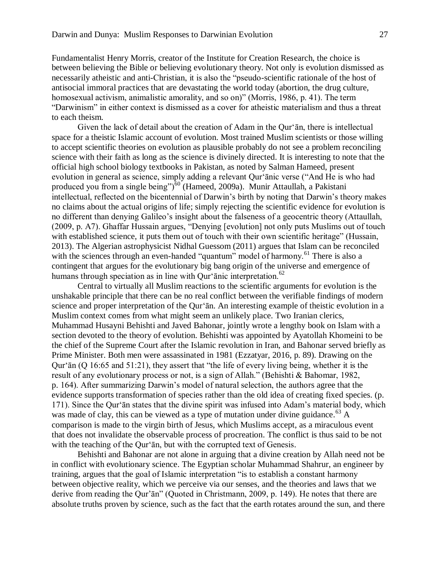Fundamentalist Henry Morris, creator of the Institute for Creation Research, the choice is between believing the Bible or believing evolutionary theory. Not only is evolution dismissed as necessarily atheistic and anti-Christian, it is also the "pseudo-scientific rationale of the host of antisocial immoral practices that are devastating the world today (abortion, the drug culture, homosexual activism, animalistic amorality, and so on)" (Morris, 1986, p. 41). The term "Darwinism" in either context is dismissed as a cover for atheistic materialism and thus a threat to each theism.

Given the lack of detail about the creation of Adam in the Qur'ān, there is intellectual space for a theistic Islamic account of evolution. Most trained Muslim scientists or those willing to accept scientific theories on evolution as plausible probably do not see a problem reconciling science with their faith as long as the science is divinely directed. It is interesting to note that the official high school biology textbooks in Pakistan, as noted by Salman Hameed, present evolution in general as science, simply adding a relevant Qur'ānic verse ("And He is who had produced you from a single being")<sup>60</sup> (Hameed, 2009a). Munir Attaullah, a Pakistani intellectual, reflected on the bicentennial of Darwin's birth by noting that Darwin's theory makes no claims about the actual origins of life; simply rejecting the scientific evidence for evolution is no different than denying Galileo's insight about the falseness of a geocentric theory (Attaullah, (2009, p. A7). Ghaffar Hussain argues, "Denying [evolution] not only puts Muslims out of touch with established science, it puts them out of touch with their own scientific heritage" (Hussain, 2013). The Algerian astrophysicist Nidhal Guessom (2011) argues that Islam can be reconciled with the sciences through an even-handed "quantum" model of harmony.<sup>61</sup> There is also a contingent that argues for the evolutionary big bang origin of the universe and emergence of humans through speciation as in line with Qur'ānic interpretation.<sup>62</sup>

Central to virtually all Muslim reactions to the scientific arguments for evolution is the unshakable principle that there can be no real conflict between the verifiable findings of modern science and proper interpretation of the Qur'ān. An interesting example of theistic evolution in a Muslim context comes from what might seem an unlikely place. Two Iranian clerics, Muhammad Husayni Behishti and Javed Bahonar, jointly wrote a lengthy book on Islam with a section devoted to the theory of evolution. Behishti was appointed by Ayatollah Khomeini to be the chief of the Supreme Court after the Islamic revolution in Iran, and Bahonar served briefly as Prime Minister. Both men were assassinated in 1981 (Ezzatyar, 2016, p. 89). Drawing on the Qur'ān (Q 16:65 and 51:21), they assert that "the life of every living being, whether it is the result of any evolutionary process or not, is a sign of Allah." (Behishti & Bahomar, 1982, p. 164). After summarizing Darwin's model of natural selection, the authors agree that the evidence supports transformation of species rather than the old idea of creating fixed species. (p. 171). Since the Qur'ān states that the divine spirit was infused into Adam's material body, which was made of clay, this can be viewed as a type of mutation under divine guidance.<sup>63</sup> A comparison is made to the virgin birth of Jesus, which Muslims accept, as a miraculous event that does not invalidate the observable process of procreation. The conflict is thus said to be not with the teaching of the Our'an, but with the corrupted text of Genesis.

Behishti and Bahonar are not alone in arguing that a divine creation by Allah need not be in conflict with evolutionary science. The Egyptian scholar Muhammad Shahrur, an engineer by training, argues that the goal of Islamic interpretation "is to establish a constant harmony between objective reality, which we perceive via our senses, and the theories and laws that we derive from reading the Qur'ān" (Quoted in Christmann, 2009, p. 149). He notes that there are absolute truths proven by science, such as the fact that the earth rotates around the sun, and there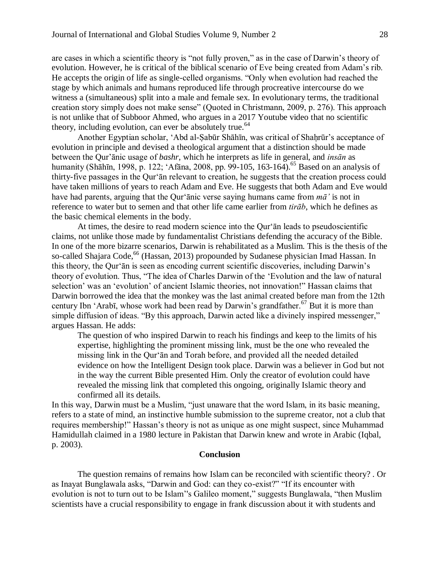are cases in which a scientific theory is "not fully proven," as in the case of Darwin's theory of evolution. However, he is critical of the biblical scenario of Eve being created from Adam's rib. He accepts the origin of life as single-celled organisms. "Only when evolution had reached the stage by which animals and humans reproduced life through procreative intercourse do we witness a (simultaneous) split into a male and female sex. In evolutionary terms, the traditional creation story simply does not make sense" (Quoted in Christmann, 2009, p. 276). This approach is not unlike that of Subboor Ahmed, who argues in a 2017 Youtube video that no scientific theory, including evolution, can ever be absolutely true.  $64$ 

Another Egyptian scholar, 'Abd al-Ṣabūr Shāhīn, was critical of Shaḥrūr's acceptance of evolution in principle and devised a theological argument that a distinction should be made between the Qur'ānic usage of *bashr*, which he interprets as life in general, and *insān* as humanity (Shāhīn, 1998, p. 122; 'Afāna, 2008, pp. 99-105, 163-164).<sup>65</sup> Based on an analysis of thirty-five passages in the Qur'ān relevant to creation, he suggests that the creation process could have taken millions of years to reach Adam and Eve. He suggests that both Adam and Eve would have had parents, arguing that the Qur'ānic verse saying humans came from *mā'* is not in reference to water but to semen and that other life came earlier from *tirāb*, which he defines as the basic chemical elements in the body.

At times, the desire to read modern science into the Qur'ān leads to pseudoscientific claims, not unlike those made by fundamentalist Christians defending the accuracy of the Bible. In one of the more bizarre scenarios, Darwin is rehabilitated as a Muslim. This is the thesis of the so-called Shajara Code,<sup>66</sup> (Hassan, 2013) propounded by Sudanese physician Imad Hassan. In this theory, the Qur'ān is seen as encoding current scientific discoveries, including Darwin's theory of evolution. Thus, "The idea of Charles Darwin of the 'Evolution and the law of natural selection' was an 'evolution' of ancient Islamic theories, not innovation!" Hassan claims that Darwin borrowed the idea that the monkey was the last animal created before man from the 12th century Ibn 'Arabī, whose work had been read by Darwin's grandfather.<sup>67</sup> But it is more than simple diffusion of ideas. "By this approach, Darwin acted like a divinely inspired messenger," argues Hassan. He adds:

The question of who inspired Darwin to reach his findings and keep to the limits of his expertise, highlighting the prominent missing link, must be the one who revealed the missing link in the Qur'ān and Torah before, and provided all the needed detailed evidence on how the Intelligent Design took place. Darwin was a believer in God but not in the way the current Bible presented Him. Only the creator of evolution could have revealed the missing link that completed this ongoing, originally Islamic theory and confirmed all its details.

In this way, Darwin must be a Muslim, "just unaware that the word Islam, in its basic meaning, refers to a state of mind, an instinctive humble submission to the supreme creator, not a club that requires membership!" Hassan's theory is not as unique as one might suspect, since Muhammad Hamidullah claimed in a 1980 lecture in Pakistan that Darwin knew and wrote in Arabic (Iqbal, p. 2003).

## **Conclusion**

The question remains of remains how Islam can be reconciled with scientific theory? . Or as Inayat Bunglawala asks, "Darwin and God: can they co-exist?" "If its encounter with evolution is not to turn out to be Islam''s Galileo moment," suggests Bunglawala, "then Muslim scientists have a crucial responsibility to engage in frank discussion about it with students and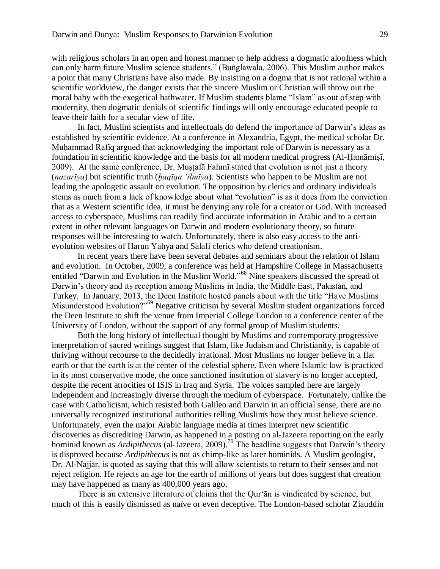with religious scholars in an open and honest manner to help address a dogmatic aloofness which can only harm future Muslim science students." (Bunglawala, 2006). This Muslim author makes a point that many Christians have also made. By insisting on a dogma that is not rational within a scientific worldview, the danger exists that the sincere Muslim or Christian will throw out the moral baby with the exegetical bathwater. If Muslim students blame "Islam" as out of step with modernity, then dogmatic denials of scientific findings will only encourage educated people to leave their faith for a secular view of life.

In fact, Muslim scientists and intellectuals do defend the importance of Darwin's ideas as established by scientific evidence. At a conference in Alexandria, Egypt, the medical scholar Dr. Muḥammad Rafīq argued that acknowledging the important role of Darwin is necessary as a foundation in scientific knowledge and the basis for all modern medical progress (Al-Ḥamāmiṣī, 2009). At the same conference, Dr. Mustafā Fahmī stated that evolution is not just a theory (*nazarīya*) but scientific truth (*ḥaqīqa 'ilmīya*). Scientists who happen to be Muslim are not leading the apologetic assault on evolution. The opposition by clerics and ordinary individuals stems as much from a lack of knowledge about what "evolution" is as it does from the conviction that as a Western scientific idea, it must be denying any role for a creator or God. With increased access to cyberspace, Muslims can readily find accurate information in Arabic and to a certain extent in other relevant languages on Darwin and modern evolutionary theory, so future responses will be interesting to watch. Unfortunately, there is also easy access to the antievolution websites of Harun Yahya and Salafi clerics who defend creationism.

In recent years there have been several debates and seminars about the relation of Islam and evolution. In October, 2009, a conference was held at Hampshire College in Massachusetts entitled "Darwin and Evolution in the Muslim World."<sup>68</sup> Nine speakers discussed the spread of Darwin's theory and its reception among Muslims in India, the Middle East, Pakistan, and Turkey. In January, 2013, the Deen Institute hosted panels about with the title "Have Muslims Misunderstood Evolution?"<sup>69</sup> Negative criticism by several Muslim student organizations forced the Deen Institute to shift the venue from Imperial College London to a conference center of the University of London, without the support of any formal group of Muslim students.

Both the long history of intellectual thought by Muslims and contemporary progressive interpretation of sacred writings suggest that Islam, like Judaism and Christianity, is capable of thriving without recourse to the decidedly irrational. Most Muslims no longer believe in a flat earth or that the earth is at the center of the celestial sphere. Even where Islamic law is practiced in its most conservative mode, the once sanctioned institution of slavery is no longer accepted, despite the recent atrocities of ISIS in Iraq and Syria. The voices sampled here are largely independent and increasingly diverse through the medium of cyberspace. Fortunately, unlike the case with Catholicism, which resisted both Galileo and Darwin in an official sense, there are no universally recognized institutional authorities telling Muslims how they must believe science. Unfortunately, even the major Arabic language media at times interpret new scientific discoveries as discrediting Darwin, as happened in a posting on al-Jazeera reporting on the early hominid known as *Ardipithecus* (al-Jazeera, 2009).<sup>70</sup> The headline suggests that Darwin's theory is disproved because *Ardipithecus* is not as chimp-like as later hominids. A Muslim geologist, Dr. Al-Najjār, is quoted as saying that this will allow scientists to return to their senses and not reject religion. He rejects an age for the earth of millions of years but does suggest that creation may have happened as many as 400,000 years ago.

There is an extensive literature of claims that the Qur'ān is vindicated by science, but much of this is easily dismissed as naïve or even deceptive. The London-based scholar Ziauddin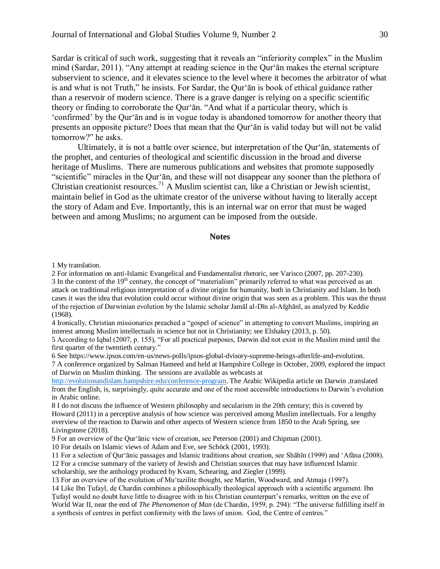Sardar is critical of such work, suggesting that it reveals an "inferiority complex" in the Muslim mind (Sardar, 2011). "Any attempt at reading science in the Qur'ān makes the eternal scripture subservient to science, and it elevates science to the level where it becomes the arbitrator of what is and what is not Truth," he insists. For Sardar, the Qur'ān is book of ethical guidance rather than a reservoir of modern science. There is a grave danger is relying on a specific scientific theory or finding to corroborate the Qur'ān. "And what if a particular theory, which is 'confirmed' by the Qur'ān and is in vogue today is abandoned tomorrow for another theory that presents an opposite picture? Does that mean that the Qur'ān is valid today but will not be valid tomorrow?" he asks.

Ultimately, it is not a battle over science, but interpretation of the Qur'ān, statements of the prophet, and centuries of theological and scientific discussion in the broad and diverse heritage of Muslims. There are numerous publications and websites that promote supposedly "scientific" miracles in the Qur'ān, and these will not disappear any sooner than the plethora of Christian creationist resources.<sup>71</sup> A Muslim scientist can, like a Christian or Jewish scientist, maintain belief in God as the ultimate creator of the universe without having to literally accept the story of Adam and Eve. Importantly, this is an internal war on error that must be waged between and among Muslims; no argument can be imposed from the outside.

#### **Notes**

1 My translation.

2 For information on anti-Islamic Evangelical and Fundamentalist rhetoric, see Varisco (2007, pp. 207-230). 3 In the context of the  $19<sup>th</sup>$  century, the concept of "materialism" primarily referred to what was perceived as an attack on traditional religious interpretation of a divine origin for humanity, both in Christianity and Islam. In both cases it was the idea that evolution could occur without divine origin that was seen as a problem. This was the thrust of the rejection of Darwinian evolution by the Islamic scholar Jamāl al-Dīn al-Afghānī, as analyzed by Keddie (1968).

4 Ironically, Christian missionaries preached a "gospel of science" in attempting to convert Muslims, inspiring an interest among Muslim intellectuals in science but not in Christianity; see Elshakry (2013, p. 50).

5 According to Iqbal (2007, p. 155), "For all practical purposes, Darwin did not exist in the Muslim mind until the first quarter of the twentieth century."

6 See https://www.ipsos.com/en-us/news-polls/ipsos-global-dvisory-supreme-beings-afterlife-and-evolution. 7 A conference organized by Salman Hameed and held at Hampshire College in October, 2009, explored the impact of Darwin on Muslim thinking. The sessions are available as webcasts at

[http://evolutionandislam.hampshire.edu/conference-program.](http://evolutionandislam.hampshire.edu/conference-program) The Arabic Wikipedia article on Darwin ,translated from the English, is, surprisingly, quite accurate and one of the most accessible introductions to Darwin's evolution in Arabic online.

8 I do not discuss the influence of Western philosophy and secularism in the 20th century; this is covered by Howard (2011) in a perceptive analysis of how science was perceived among Muslim intellectuals. For a lengthy overview of the reaction to Darwin and other aspects of Western science from 1850 to the Arab Spring, see Livingstone (2018).

9 For an overview of the Qur'ānic view of creation, see Peterson (2001) and Chipman (2001).

10 For details on Islamic views of Adam and Eve, see Schöck (2001, 1993).

11 For a selection of Qur'ānic passages and Islamic traditions about creation, see Shāhīn (1999) and 'Afāna (2008).

12 For a concise summary of the variety of Jewish and Christian sources that may have influenced Islamic scholarship, see the anthology produced by Kvam, Schearing, and Ziegler (1999).

13 For an overview of the evolution of Mu'tazilite thought, see Martin, Woodward, and Atmaja (1997).

14 Like Ibn Ṭufayl, de Chardin combines a philosophically theological approach with a scientific argument. Ibn Ṭufayl would no doubt have little to disagree with in his Christian counterpart's remarks, written on the eve of World War II, near the end of *The Phenomenon of Man* (de Chardin, 1959, p. 294): "The universe fulfilling itself in

a synthesis of centres in perfect conformity with the laws of union. God, the Centre of centres."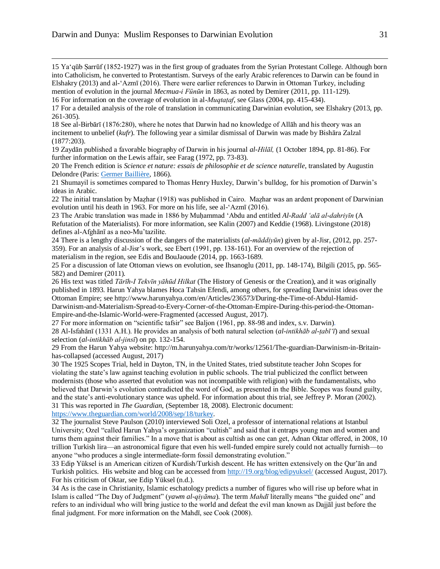$\overline{a}$ 

15 Ya'qūb Ṣarrūf (1852-1927) was in the first group of graduates from the Syrian Protestant College. Although born into Catholicism, he converted to Protestantism. Surveys of the early Arabic references to Darwin can be found in Elshakry (2013) and al-'Azmī (2016). There were earlier references to Darwin in Ottoman Turkey, including mention of evolution in the journal *Mecmua-i Fünūn* in 1863, as noted by Demirer (2011, pp. 111-129).

19 Zaydān published a favorable biography of Darwin in his journal *al-Hilāl,* (1 October 1894, pp. 81-86). For further information on the Lewis affair, see Farag (1972, pp. 73-83).

20 The French edition is *Science et nature: essais de philosophie et de science naturelle*, translated by Augustin Delondre (Paris: [Germer Baillière](https://fr.wikipedia.org/wiki/Jean-Baptiste_Bailli%C3%A8re)*,* 1866).

21 Shumayil is sometimes compared to Thomas Henry Huxley, Darwin's bulldog, for his promotion of Darwin's ideas in Arabic.

22 The initial translation by Maẓhar (1918) was published in Cairo. Maẓhar was an ardent proponent of Darwinian evolution until his death in 1963. For more on his life, see al-'Azmī (2016).

23 The Arabic translation was made in 1886 by Muḥammad 'Abdu and entitled *Al-Radd 'alā al-dahriyīn* (A Refutation of the Materialists). For more information, see Kalin (2007) and Keddie (1968). Livingstone (2018) defines al-Afghānī as a neo-Mu'tazilite.

24 There is a lengthy discussion of the dangers of the materialists (*al-māddiyūn*) given by al-Jisr, (2012, pp. 257- 359). For an analysis of al-Jisr's work, see Ebert (1991, pp. 138-161). For an overview of the rejection of materialism in the region, see Edis and BouJaoude (2014, pp. 1663-1689.

25 For a discussion of late Ottoman views on evolution, see Ihsanoglu (2011, pp. 148-174), Bilgili (2015, pp. 565- 582) and Demirer (2011)*.*

26 His text was titled *Tārīh-I Tekvīn yāhūd Hilkat* (The History of Genesis or the Creation), and it was originally published in 1893. Harun Yahya blames Hoca Tahsin Efendi, among others, for spreading Darwinist ideas over the Ottoman Empire; see http://www.harunyahya.com/en/Articles/236573/During-the-Time-of-Abdul-Hamid-Darwinism-and-Materialism-Spread-to-Every-Corner-of-the-Ottoman-Empire-During-this-period-the-Ottoman-Empire-and-the-Islamic-World-were-Fragmented (accessed August, 2017).

27 For more information on "scientific tafsir" see Baljon (1961, pp. 88-98 and index, s.v. Darwin)*.* 28 Al-Isfahānī (1331 A.H.). He provides an analysis of both natural selection (*al-intikhāb al-ṭabī'ī*) and sexual selection (*al-intikhāb al-jinsī*) on pp. 132-154.

29 From the Harun Yahya website: http://m.harunyahya.com/tr/works/12561/The-guardian-Darwinism-in-Britainhas-collapsed (accessed August, 2017)

30 The 1925 Scopes Trial, held in Dayton, TN, in the United States, tried substitute teacher John Scopes for violating the state's law against teaching evolution in public schools. The trial publicized the conflict between modernists (those who asserted that evolution was not incompatible with religion) with the fundamentalists, who believed that Darwin's evolution contradicted the word of God, as presented in the Bible. Scopes was found guilty, and the state's anti-evolutionary stance was upheld. For information about this trial, see Jeffrey P. Moran (2002). 31 This was reported in *The Guardian,* (September 18, 2008). Electronic document:

[https://www.theguardian.com/world/2008/sep/18/turkey.](https://www.theguardian.com/world/2008/sep/18/turkey)

32 The journalist Steve Paulson (2010) interviewed Soli Ozel, a professor of international relations at Istanbul University; Ozel "called Harun Yahya's organization "cultish" and said that it entraps young men and women and turns them against their families." In a move that is about as cultish as one can get, Adnan Oktar offered, in 2008, 10 trillion Turkish lira—an astronomical figure that even his well-funded empire surely could not actually furnish—to anyone "who produces a single intermediate-form fossil demonstrating evolution."

33 Edip Yüksel is an American citizen of Kurdish/Turkish descent. He has written extensively on the Qur'ān and Turkish politics. His website and blog can be accessed from<http://19.org/blog/edipyuksel/> (accessed August, 2017). For his criticism of Oktar, see Edip Yüksel (n.d.).

34 As is the case in Christianity, Islamic eschatology predicts a number of figures who will rise up before what in Islam is called "The Day of Judgment" (*yawm al-qiyāma*). The term *Mahdī* literally means "the guided one" and refers to an individual who will bring justice to the world and defeat the evil man known as Dajjāl just before the final judgment. For more information on the Mahdī, see Cook (2008).

<sup>16</sup> For information on the coverage of evolution in al-*Muqtataf*, see Glass (2004, pp. 415-434).

<sup>17</sup> For a detailed analysis of the role of translation in communicating Darwinian evolution, see Elshakry (2013, pp. 261-305).

<sup>18</sup> See al-Birbārī (1876:280), where he notes that Darwin had no knowledge of Allāh and his theory was an incitement to unbelief (*kufr*). The following year a similar dismissal of Darwin was made by Bishāra Zalzal (1877:203).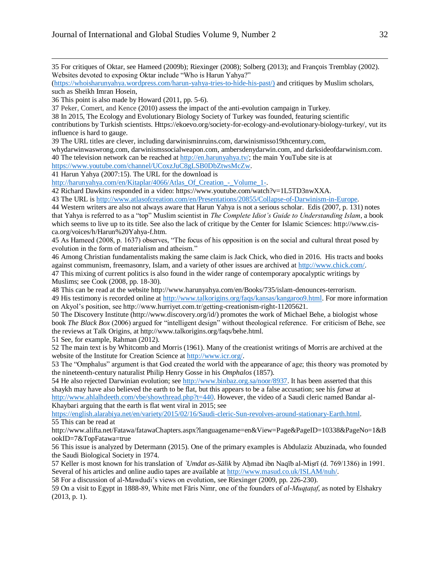35 For critiques of Oktar, see Hameed (2009b); Riexinger (2008); Solberg (2013); and François Tremblay (2002). Websites devoted to exposing Oktar include "Who is Harun Yahya?"

 $\overline{a}$ 

whydarwinwaswrong.com, darwinismssocialweapon.com, ambersdenydarwin.com, and darksideofdarwinism.com. 40 The television network can be reached at [http://en.harunyahya.tv/;](http://en.harunyahya.tv/) the main YouTube site is at

[https://www.youtube.com/channel/UCoxzJuC8gLSB0DbZtwsMcZw.](https://www.youtube.com/channel/UCoxzJuC8gLSB0DbZtwsMcZw)

41 Harun Yahya (2007:15). The URL for the download is

[http://harunyahya.com/en/Kitaplar/4066/Atlas\\_Of\\_Creation\\_-\\_Volume\\_1-.](http://harunyahya.com/en/Kitaplar/4066/Atlas_Of_Creation_-_Volume_1-)

42 Richard Dawkins responded in a video: https://www.youtube.com/watch?v=1L5TD3nwXXA.

43 The URL is [http://www.atlasofcreation.com/en/Presentations/20855/Collapse-of-Darwinism-in-Europe.](http://www.atlasofcreation.com/en/Presentations/20855/Collapse-of-Darwinism-in-Europe)

44 Western writers are also not always aware that Harun Yahya is not a serious scholar. Edis (2007, p. 131) notes that Yahya is referred to as a "top" Muslim scientist in *The Complete Idiot's Guide to Understanding Islam*, a book which seems to live up to its title. See also the lack of critique by the Center for Islamic Sciences: http://www.cisca.org/voices/h/Harun%20Yahya-f.htm.

45 As Hameed (2008, p. 1637) observes, "The focus of his opposition is on the social and cultural threat posed by evolution in the form of materialism and atheism."

46 Among Christian fundamentalists making the same claim is Jack Chick, who died in 2016. His tracts and books against communism, freemasonry, Islam, and a variety of other issues are archived at [http://www.chick.com/.](http://www.chick.com/)

47 This mixing of current politics is also found in the wider range of contemporary apocalyptic writings by Muslims; see Cook (2008, pp. 18-30).

48 This can be read at the website http://www.harunyahya.com/en/Books/735/islam-denounces-terrorism.

49 His testimony is recorded online a[t http://www.talkorigins.org/faqs/kansas/kangaroo9.html.](http://www.talkorigins.org/faqs/kansas/kangaroo9.html) For more information on Akyol's position, see http://www.hurriyet.com.tr/getting-creationism-right-11205621.

50 The Discovery Institute (http://www.discovery.org/id/) promotes the work of Michael Behe, a biologist whose book *The Black Box* (2006) argued for "intelligent design" without theological reference. For criticism of Behe, see the reviews at Talk Origins, at http://www.talkorigins.org/faqs/behe.html.

51 See, for example, Rahman (2012).

52 The main text is by Whitcomb and Morris (1961). Many of the creationist writings of Morris are archived at the website of the Institute for Creation Science at [http://www.icr.org/.](http://www.icr.org/)

53 The "Omphalus" argument is that God created the world with the appearance of age; this theory was promoted by the nineteenth-century naturalist Philip Henry Gosse in his *Omphalos* (1857).

54 He also rejected Darwinian evolution; se[e http://www.binbaz.org.sa/noor/8937.](http://www.binbaz.org.sa/noor/8937) It has been asserted that this shaykh may have also believed the earth to be flat, but this appears to be a false accusation; see his *fatwa* at [http://www.ahlalhdeeth.com/vbe/showthread.php?t=440.](http://www.ahlalhdeeth.com/vbe/showthread.php?t=440) However, the video of a Saudi cleric named Bandar al-Khaybari arguing that the earth is flat went viral in 2015; see

[https://english.alarabiya.net/en/variety/2015/02/16/Saudi-cleric-Sun-revolves-around-stationary-Earth.html.](https://english.alarabiya.net/en/variety/2015/02/16/Saudi-cleric-Sun-revolves-around-stationary-Earth.html) 55 This can be read at

http://www.alifta.net/Fatawa/fatawaChapters.aspx?languagename=en&View=Page&PageID=10338&PageNo=1&B ookID=7&TopFatawa=true

56 This issue is analyzed by Determann (2015). One of the primary examples is Abdulaziz Abuzinada, who founded the Saudi Biological Society in 1974.

57 Keller is most known for his translation of *`Umdat as-Sālik* by Aḥmad ibn Naqīb al-Miṣrī (d. 769/1386) in 1991. Several of his articles and online audio tapes are available at [http://www.masud.co.uk/ISLAM/nuh/.](http://www.masud.co.uk/ISLAM/nuh/)

58 For a discussion of al-Mawdudi's views on evolution, see Riexinger (2009, pp. 226-230).

59 On a visit to Egypt in 1888-89, White met Fāris Nimr, one of the founders of *al-Muqṭaṭaf*, as noted by Elshakry (2013, p. 1).

[<sup>\(</sup>https://whoisharunyahya.wordpress.com/harun-yahya-tries-to-hide-his-past/\)](https://whoisharunyahya.wordpress.com/harun-yahya-tries-to-hide-his-past/)) and critiques by Muslim scholars, such as Sheikh Imran Hosein,

<sup>36</sup> This point is also made by Howard (2011, pp. 5-6).

<sup>37</sup> Peker, Comert, and Kence (2010) assess the impact of the anti-evolution campaign in Turkey.

<sup>38</sup> In 2015, The Ecology and Evolutionary Biology Society of Turkey was founded, featuring scientific

contributions by Turkish scientists. Https://ekoevo.org/society-for-ecology-and-evolutionary-biology-turkey/, vut its influence is hard to gauge.

<sup>39</sup> The URL titles are clever, including darwinisminruins.com, darwinismisso19thcentury.com,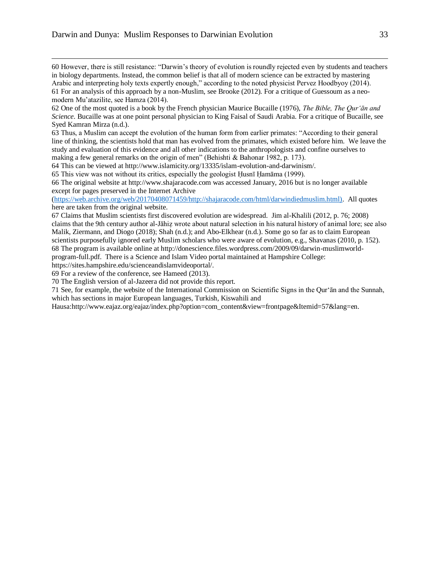$\overline{a}$ 

60 However, there is still resistance: "Darwin's theory of evolution is roundly rejected even by students and teachers in biology departments. Instead, the common belief is that all of modern science can be extracted by mastering Arabic and interpreting holy texts expertly enough," according to the noted physicist Pervez Hoodbyoy (2014). 61 For an analysis of this approach by a non-Muslim, see Brooke (2012). For a critique of Guessoum as a neomodern Mu'atazilite, see Hamza (2014).

62 One of the most quoted is a book by the French physician Maurice Bucaille (1976), *The Bible, The Qur'ān and Science.* Bucaille was at one point personal physician to King Faisal of Saudi Arabia. For a critique of Bucaille, see Syed Kamran Mirza (n.d.).

63 Thus, a Muslim can accept the evolution of the human form from earlier primates: "According to their general line of thinking, the scientists hold that man has evolved from the primates, which existed before him. We leave the study and evaluation of this evidence and all other indications to the anthropologists and confine ourselves to making a few general remarks on the origin of men" (Behishti & Bahonar 1982, p. 173).

64 This can be viewed at http://www.islamicity.org/13335/islam-evolution-and-darwinism/.

65 This view was not without its critics, especially the geologist Ḥusnī Ḥamāma (1999).

66 The original website at http://www.shajaracode.com was accessed January, 2016 but is no longer available except for pages preserved in the Internet Archive

[\(https://web.archive.org/web/20170408071459/http://shajaracode.com/html/darwindiedmuslim.html\).](https://web.archive.org/web/20170408071459/http:/shajaracode.com/html/darwindiedmuslim.html)) All quotes here are taken from the original website.

67 Claims that Muslim scientists first discovered evolution are widespread. Jim al-Khalili (2012, p. 76; 2008) claims that the 9th century author al-Jāhiẓ wrote about natural selection in his natural history of animal lore; see also Malik, Ziermann, and Diogo (2018); Shah (n.d.); and Abo-Elkhear (n.d.). Some go so far as to claim European scientists purposefully ignored early Muslim scholars who were aware of evolution, e.g., Shavanas (2010, p. 152). 68 The program is available online at http://donescience.files.wordpress.com/2009/09/darwin-muslimworldprogram-full.pdf. There is a Science and Islam Video portal maintained at Hampshire College:

https://sites.hampshire.edu/scienceandislamvideoportal/.

69 For a review of the conference, see Hameed (2013).

70 The English version of al-Jazeera did not provide this report.

71 See, for example, the website of the International Commission on Scientific Signs in the Qur'ān and the Sunnah, which has sections in major European languages, Turkish, Kiswahili and

Hausa:http://www.eajaz.org/eajaz/index.php?option=com\_content&view=frontpage&Itemid=57&lang=en.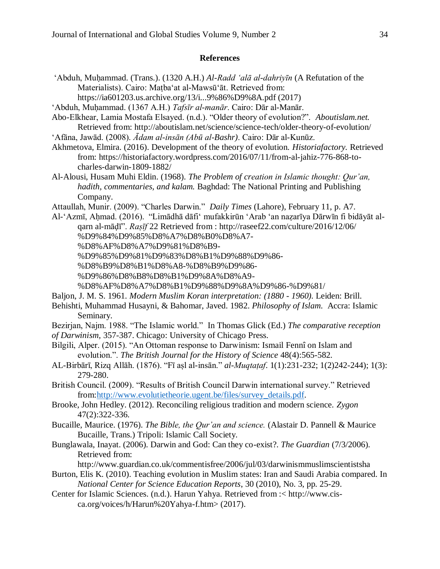#### **References**

- 'Abduh, Muḥammad. (Trans.). (1320 A.H.) *Al-Radd 'alā al-dahriyīn* (A Refutation of the Materialists). Cairo: Maṭba'at al-Mawsū'āt. Retrieved from: https://ia601203.us.archive.org/13/i...9%86%D9%8A.pdf (2017)
- 'Abduh, Muḥammad. (1367 A.H.) *Tafsīr al-manār*. Cairo: Dār al-Manār.
- Abo-Elkhear, Lamia Mostafa Elsayed. (n.d.). "Older theory of evolution?". *Aboutislam.net.* Retrieved from: http://aboutislam.net/science/science-tech/older-theory-of-evolution/
- 'Afāna, Jawād. (2008). *Ādam al-insān (Abū al-Bashr)*. Cairo: Dār al-Kunūz.
- Akhmetova, Elmira. (2016). Development of the theory of evolution. *Historiafactory.* Retrieved from: https://historiafactory.wordpress.com/2016/07/11/from-al-jahiz-776-868-tocharles-darwin-1809-1882/
- Al-Alousi, Husam Muhi Eldin. (1968). *The Problem of creation in Islamic thought: Qur'an, hadith, commentaries, and kalam.* Baghdad: The National Printing and Publishing Company.
- Attaullah, Munir. (2009). "Charles Darwin." *Daily Times* (Lahore), February 11, p. A7.
- Al-'Azmī, Aḥmad. (2016). "Limādhā dāfi' mufakkirūn 'Arab 'an naẓarīya Dārwīn fi bidāyāt alqarn al-māḍī". *Raṣīf* 22 Retrieved from : http://raseef22.com/culture/2016/12/06/ %D9%84%D9%85%D8%A7%D8%B0%D8%A7- %D8%AF%D8%A7%D9%81%D8%B9- %D9%85%D9%81%D9%83%D8%B1%D9%88%D9%86-
	- %D8%B9%D8%B1%D8%A8-%D8%B9%D9%86-
	- %D9%86%D8%B8%D8%B1%D9%8A%D8%A9-
	- %D8%AF%D8%A7%D8%B1%D9%88%D9%8A%D9%86-%D9%81/
- Baljon, J. M. S. 1961. *Modern Muslim Koran interpretation: (1880 - 1960).* Leiden: Brill.
- Behishti, Muhammad Husayni, & Bahomar, Javed. 1982. *Philosophy of Islam.* Accra: Islamic Seminary.
- Bezirjan, Najm. 1988. "The Islamic world." In Thomas Glick (Ed.) *The comparative reception*
- *of Darwinism,* 357-387. Chicago: University of Chicago Press.
- Bilgili, Alper. (2015). "An Ottoman response to Darwinism: Ismail Fennî on Islam and evolution.". *The British Journal for the History of Science* 48(4):565-582.
- AL-Birbārī, Rizq Allāh. (1876). "Fī aṣl al-insān." *al-Muqtaṭaf*. 1(1):231-232; 1(2)242-244); 1(3): 279-280.
- British Council. (2009). "Results of British Council Darwin international survey." Retrieved from:http://www.evolutietheorie.ugent.be/files/survey\_details.pdf.
- Brooke, John Hedley. (2012). Reconciling religious tradition and modern science. *Zygon*  47(2):322-336.
- Bucaille, Maurice. (1976). *The Bible, the Qur'an and science.* (Alastair D. Pannell & Maurice Bucaille, Trans.) Tripoli: Islamic Call Society.
- Bunglawala, Inayat. (2006). Darwin and God: Can they co-exist?. *The Guardian* (7/3/2006). Retrieved from:
	- http://www.guardian.co.uk/commentisfree/2006/jul/03/darwinismmuslimscientistsha
- Burton, Elis K. (2010). Teaching evolution in Muslim states: Iran and Saudi Arabia compared. In *National Center for Science Education Reports*, 30 (2010), No. 3, pp. 25-29.
- Center for Islamic Sciences. (n.d.). Harun Yahya. Retrieved from :< http://www.cisca.org/voices/h/Harun%20Yahya-f.htm> (2017).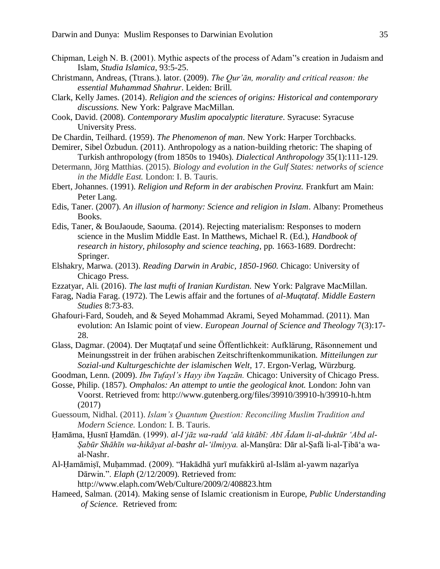- Chipman, Leigh N. B. (2001). Mythic aspects of the process of Adam''s creation in Judaism and Islam, *Studia Islamica*, 93:5-25.
- Christmann, Andreas, (Ttrans.). lator. (2009). *The Qur'ān, morality and critical reason: the essential Muhammad Shahrur*. Leiden: Brill.
- Clark, Kelly James. (2014). *Religion and the sciences of origins: Historical and contemporary discussions.* New York: Palgrave MacMillan.
- Cook, David. (2008). *Contemporary Muslim apocalyptic literature*. Syracuse: Syracuse University Press.
- De Chardin, Teilhard. (1959). *The Phenomenon of man*. New York: Harper Torchbacks.
- Demirer, Sibel Özbudun. (2011). Anthropology as a nation-building rhetoric: The shaping of Turkish anthropology (from 1850s to 1940s). *Dialectical Anthropology* 35(1):111-129.
- Determann, Jörg Matthias. (2015). *Biology and evolution in the Gulf States: networks of science in the Middle East.* London: I. B. Tauris.
- Ebert, Johannes. (1991). *Religion und Reform in der arabischen Provinz.* Frankfurt am Main: Peter Lang.

Edis, Taner. (2007). *An illusion of harmony: Science and religion in Islam*. Albany: Prometheus Books.

- Edis, Taner, & BouJaoude, Saouma. (2014). Rejecting materialism: Responses to modern science in the Muslim Middle East. In Matthews, Michael R. (Ed.), *Handbook of research in history, philosophy and science teaching*, pp. 1663-1689. Dordrecht: Springer.
- Elshakry, Marwa. (2013). *Reading Darwin in Arabic, 1850-1960*. Chicago: University of Chicago Press.
- Ezzatyar, Ali. (2016). *The last mufti of Iranian Kurdistan.* New York: Palgrave MacMillan.
- Farag, Nadia Farag. (1972). The Lewis affair and the fortunes of *al-Muqtataf*. *Middle Eastern Studies* 8:73-83.
- Ghafouri-Fard, Soudeh, and & Seyed Mohammad Akrami, Seyed Mohammad. (2011). Man evolution: An Islamic point of view. *European Journal of Science and Theology* 7(3):17- 28.
- Glass, Dagmar. (2004). Der Muqtaṭaf und seine Öffentlichkeit: Aufklärung, Räsonnement und Meinungsstreit in der frühen arabischen Zeitschriftenkommunikation. *Mitteilungen zur Sozial-und Kulturgeschichte der islamischen Welt,* 17. Ergon-Verlag, Würzburg.
- Goodman, Lenn. (2009). *Ibn Tufayl's Hayy ibn Yaqzān.* Chicago: University of Chicago Press.
- Gosse, Philip. (1857). *Omphalos: An attempt to untie the geological knot.* London: John van Voorst. Retrieved from: http://www.gutenberg.org/files/39910/39910-h/39910-h.htm (2017)
- Guessoum, Nidhal. (2011). *Islam's Quantum Question: Reconciling Muslim Tradition and Modern Science.* London: I. B. Tauris.
- Ḥamāma, Ḥusnī Ḥamdān. (1999). *al-I'jāz wa-radd 'alā kitābī: Abī Ādam li-al-duktūr 'Abd al-Ṣabūr Shāhīn wa-hikāyat al-bashr al-'ilmiyya.* al-Manṣūra: Dār al-Ṣafā li-al-Ṭibā'a waal-Nashr.
- Al-Ḥamāmiṣī, Muḥammad. (2009). "Hakādhā yurī mufakkirū al-Islām al-yawm naẓarīya Dārwin.". *Elaph* (2/12/2009). Retrieved from:
	- http://www.elaph.com/Web/Culture/2009/2/408823.htm
- Hameed, Salman. (2014). Making sense of Islamic creationism in Europe, *Public Understanding of Science.* Retrieved from: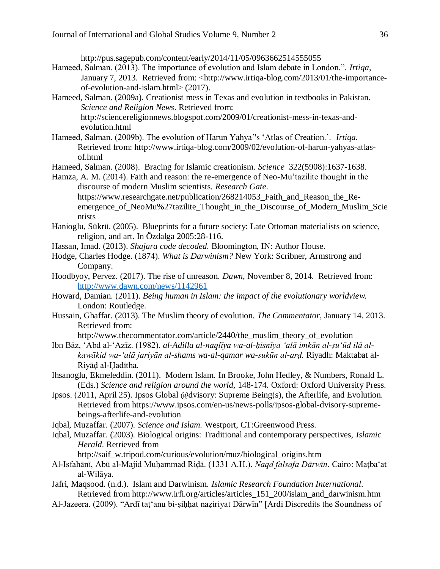http://pus.sagepub.com/content/early/2014/11/05/0963662514555055

- Hameed, Salman. (2013). The importance of evolution and Islam debate in London.". *Irtiqa,* January 7, 2013. Retrieved from: <http://www.irtiqa-blog.com/2013/01/the-importanceof-evolution-and-islam.html> (2017).
- Hameed, Salman. (2009a). Creationist mess in Texas and evolution in textbooks in Pakistan. *Science and Religion News*. Retrieved from: http://sciencereligionnews.blogspot.com/2009/01/creationist-mess-in-texas-andevolution.html
- Hameed, Salman. (2009b). The evolution of Harun Yahya''s 'Atlas of Creation.'. *Irtiqa.* Retrieved from: http://www.irtiqa-blog.com/2009/02/evolution-of-harun-yahyas-atlasof.html
- Hameed, Salman. (2008). Bracing for Islamic creationism. *Science* 322(5908):1637-1638.

Hamza, A. M. (2014). Faith and reason: the re-emergence of Neo-Mu'tazilite thought in the discourse of modern Muslim scientists. *Research Gate*. https://www.researchgate.net/publication/268214053\_Faith\_and\_Reason\_the\_Reemergence\_of\_NeoMu%27tazilite\_Thought\_in\_the\_Discourse\_of\_Modern\_Muslim\_Scie ntists

- Hanioglu, Sükrü. (2005). Blueprints for a future society: Late Ottoman materialists on science, religion, and art. In Özdalga 2005:28-116.
- Hassan, Imad. (2013). *Shajara code decoded.* Bloomington, IN: Author House.
- Hodge, Charles Hodge. (1874). *What is Darwinism?* New York: Scribner, Armstrong and Company.
- Hoodbyoy, Pervez. (2017). The rise of unreason. *Dawn*, November 8, 2014. Retrieved from: <http://www.dawn.com/news/1142961>
- Howard, Damian. (2011). *Being human in Islam: the impact of the evolutionary worldview.*  London: Routledge.
- Hussain, Ghaffar. (2013). The Muslim theory of evolution. *The Commentator*, January 14. 2013. Retrieved from:

http://www.thecommentator.com/article/2440/the\_muslim\_theory\_of\_evolution

- Ibn Bāz, 'Abd al-'Azīz. (1982). *al-Adilla al-naqlīya wa-al-ḥisnīya 'alā imkān al-ṣu'ūd ilā alkawākid wa-'alā jariyān al-shams wa-al-qamar wa-sukūn al-arḍ.* Riyadh: Maktabat al-Riyāḍ al-Ḥadītha.
- Ihsanoglu, Ekmeleddin. (2011). Modern Islam. In Brooke, John Hedley, & Numbers, Ronald L. (Eds.) *Science and religion around the world,* 148-174. Oxford: Oxford University Press.
- Ipsos. (2011, April 25). Ipsos Global @dvisory: Supreme Being(s), the Afterlife, and Evolution. Retrieved from https://www.ipsos.com/en-us/news-polls/ipsos-global-dvisory-supremebeings-afterlife-and-evolution
- Iqbal, Muzaffar. (2007). *Science and Islam.* Westport, CT:Greenwood Press.
- Iqbal, Muzaffar. (2003). Biological origins: Traditional and contemporary perspectives, *Islamic Herald*. Retrieved from

http://saif\_w.tripod.com/curious/evolution/muz/biological\_origins.htm

- Al-Isfahānī, Abū al-Majid Muḥammad Riḍā. (1331 A.H.). *Naqd falsafa Dārwīn*. Cairo: Maṭba'at al-Wilāya.
- Jafri, Maqsood. (n.d.). Islam and Darwinism. *Islamic Research Foundation International*. Retrieved from http://www.irfi.org/articles/articles\_151\_200/islam\_and\_darwinism.htm
- Al-Jazeera. (2009). "Ardī taṭ'anu bi-ṣiḥḥat naẓiriyat Dārwīn" [Ardi Discredits the Soundness of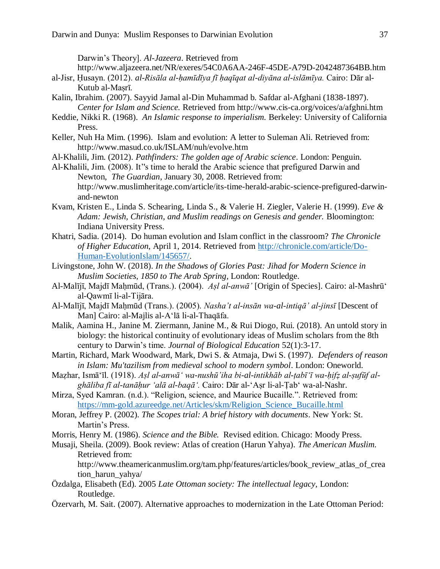Darwin's Theory]. *Al-Jazeera*. Retrieved from

http://www.aljazeera.net/NR/exeres/54C0A6AA-246F-45DE-A79D-2042487364BB.htm

- al-Jisr, Ḥusayn. (2012). *al-Risāla al-ḥamīdīya fī ḥaqīqat al-diyāna al-islāmīya.* Cairo: Dār al-Kutub al-Maṣrī.
- Kalin, Ibrahim. (2007). Sayyid Jamal al-Din Muhammad b. Safdar al-Afghani (1838-1897). *Center for Islam and Science.* Retrieved from http://www.cis-ca.org/voices/a/afghni.htm
- Keddie, Nikki R. (1968). *An Islamic response to imperialism.* Berkeley: University of California Press.
- Keller, Nuh Ha Mim. (1996). Islam and evolution: A letter to Suleman Ali. Retrieved from: http://www.masud.co.uk/ISLAM/nuh/evolve.htm
- Al-Khalili, Jim. (2012). *Pathfinders: The golden age of Arabic science*. London: Penguin.
- Al-Khalili, Jim. (2008). It''s time to herald the Arabic science that prefigured Darwin and Newton, *The Guardian*, January 30, 2008. Retrieved from: http://www.muslimheritage.com/article/its-time-herald-arabic-science-prefigured-darwinand-newton
- Kvam, Kristen E., Linda S. Schearing, Linda S., & Valerie H. Ziegler, Valerie H. (1999). *Eve & Adam: Jewish, Christian, and Muslim readings on Genesis and gender.* Bloomington: Indiana University Press.
- Khatri, Sadia. (2014). Do human evolution and Islam conflict in the classroom? *The Chronicle of Higher Education*, April 1, 2014. Retrieved from [http://chronicle.com/article/Do-](http://chronicle.com/article/Do-Human-EvolutionIslam/145657/)[Human-EvolutionIslam/145657/.](http://chronicle.com/article/Do-Human-EvolutionIslam/145657/)
- Livingstone, John W. (2018). *In the Shadows of Glories Past: Jihad for Modern Science in Muslim Societies, 1850 to The Arab Spring,* London: Routledge.
- Al-Malījī, Majdī Maḥmūd, (Trans.). (2004). *Aṣl al-anwā'* [Origin of Species]. Cairo: al-Mashrū' al-Qawmī li-al-Tijāra.
- Al-Malījī, Majdī Maḥmūd (Trans.). (2005). *Nasha't al-insān wa-al-intiqā' al-jinsī* [Descent of Man] Cairo: al-Majlis al-A'lā li-al-Thaqāfa.
- Malik, Aamina H., Janine M. Ziermann, Janine M., & Rui Diogo, Rui. (2018). An untold story in biology: the historical continuity of evolutionary ideas of Muslim scholars from the 8th century to Darwin's time. *Journal of Biological Education* 52(1):3-17.
- Martin, Richard, Mark Woodward, Mark, Dwi S. & Atmaja, Dwi S. (1997). *Defenders of reason in Islam: Mu'tazilism from medieval school to modern symbol*. London: Oneworld.
- Mazhar, Ismā'īl. (1918). Asl al-anwā 'wa-nushū'iha bi-al-intikhāb al-ṭabī'ī wa-ḥifz al-ṣufūf al*ghāliba fī al-tanāḥur 'alā al-baqā'.* Cairo: Dār al-ʻAṣr li-al-Ṭabʻ wa-al-Nashr.
- Mirza, Syed Kamran. (n.d.). "Religion, science, and Maurice Bucaille.". Retrieved from: [https://mm-gold.azureedge.net/Articles/skm/Religion\\_Science\\_Bucaille.html](https://mm-gold.azureedge.net/Articles/skm/Religion_Science_Bucaille.html)
- Moran, Jeffrey P. (2002). *The Scopes trial: A brief history with documents*. New York: St. Martin's Press.
- Morris, Henry M. (1986). *Science and the Bible.* Revised edition. Chicago: Moody Press.
- Musaji, Sheila. (2009). Book review: Atlas of creation (Harun Yahya). *The American Muslim.* Retrieved from:

http://www.theamericanmuslim.org/tam.php/features/articles/book\_review\_atlas\_of\_crea tion\_harun\_yahya/

- Özdalga, Elisabeth (Ed). 2005 *Late Ottoman society: The intellectual legacy,* London: Routledge.
- Özervarh, M. Sait. (2007). Alternative approaches to modernization in the Late Ottoman Period: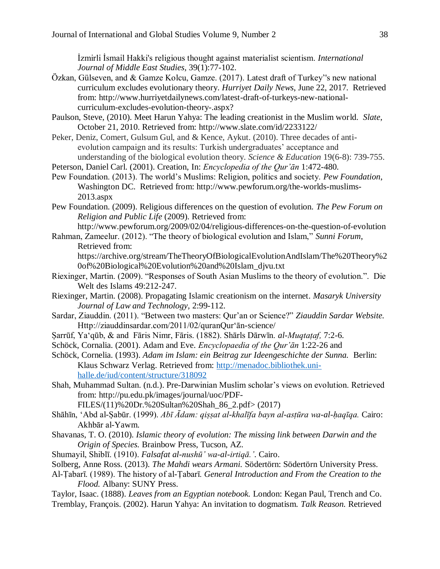İzmi̇rli̇ İsmai̇l Hakki's religious thought against materialist scientism. *International Journal of Middle East Studies,* 39(1):77-102.

- Özkan, Gülseven, and & Gamze Kolcu, Gamze. (2017). Latest draft of Turkey''s new national curriculum excludes evolutionary theory. *Hurriyet Daily News*, June 22, 2017. Retrieved from: http://www.hurriyetdailynews.com/latest-draft-of-turkeys-new-nationalcurriculum-excludes-evolution-theory-.aspx?
- Paulson, Steve, (2010). Meet Harun Yahya: The leading creationist in the Muslim world. *Slate*, October 21, 2010. Retrieved from: http://www.slate.com/id/2233122/
- Peker, Deniz, Comert, Gulsum Gul, and & Kence, Aykut. (2010). Three decades of antievolution campaign and its results: Turkish undergraduates' acceptance and understanding of the biological evolution theory. *Science & Education* 19(6-8): 739-755.
- Peterson, Daniel Carl. (2001). Creation, In: *Encyclopedia of the Qur'ān* 1:472-480.
- Pew Foundation. (2013). The world's Muslims: Religion, politics and society. *Pew Foundation*, Washington DC. Retrieved from: http://www.pewforum.org/the-worlds-muslims-2013.aspx
- Pew Foundation. (2009). Religious differences on the question of evolution. *The Pew Forum on Religion and Public Life* (2009). Retrieved from:

http://www.pewforum.org/2009/02/04/religious-differences-on-the-question-of-evolution

Rahman, Zameelur. (2012). "The theory of biological evolution and Islam," *Sunni Forum*, Retrieved from:

https://archive.org/stream/TheTheoryOfBiologicalEvolutionAndIslam/The%20Theory%2 0of%20Biological%20Evolution%20and%20Islam\_djvu.txt

- Riexinger, Martin. (2009). "Responses of South Asian Muslims to the theory of evolution.". Die Welt des Islams 49:212-247.
- Riexinger, Martin. (2008). Propagating Islamic creationism on the internet. *Masaryk University Journal of Law and Technology,* 2:99-112.
- Sardar, Ziauddin. (2011). "Between two masters: Qur'an or Science?" *Ziauddin Sardar Website.* Http://ziauddinsardar.com/2011/02/quranQur'ān-science/
- Ṣarrūf, Ya'qūb, & and Fāris Nimr, Fāris. (1882). Shārls Dārwīn. *al-Muqtaṭaf,* 7:2-6.
- Schöck, Cornalia. (2001). Adam and Eve. *Encyclopaedia of the Qur'ān* 1:22-26 and
- Schöck, Cornelia. (1993). *Adam im Islam: ein Beitrag zur Ideengeschichte der Sunna.* Berlin: Klaus Schwarz Verlag. Retrieved from: [http://menadoc.bibliothek.uni](http://menadoc.bibliothek.uni-halle.de/iud/content/structure/318092)[halle.de/iud/content/structure/318092](http://menadoc.bibliothek.uni-halle.de/iud/content/structure/318092)
- Shah, Muhammad Sultan. (n.d.). Pre-Darwinian Muslim scholar's views on evolution. Retrieved from: http://pu.edu.pk/images/journal/uoc/PDF-

FILES/(11)%20Dr.%20Sultan%20Shah\_86\_2.pdf> (2017)

- Shāhīn, 'Abd al-Ṣabūr. (1999). *Abī Ādam: qiṣṣat al-khalīfa bayn al-asṭūra wa-al-ḥaqīqa.* Cairo: Akhbār al-Yawm.
- Shavanas, T. O. (2010). *Islamic theory of evolution: The missing link between Darwin and the Origin of Species.* Brainbow Press, Tucson, AZ.
- Shumayil, Shiblī. (1910). *Falsafat al-nushū' wa-al-irtiqā.'*. Cairo.
- Solberg, Anne Ross. (2013). *The Mahdi wears Armani.* Södertörn: Södertörn University Press.
- Al-Ṭabarī. (1989). The history of al-Ṭabarī. *General Introduction and From the Creation to the Flood.* Albany: SUNY Press.
- Taylor, Isaac. (1888). *Leaves from an Egyptian notebook.* London: Kegan Paul, Trench and Co. Tremblay, François. (2002). Harun Yahya: An invitation to dogmatism. *Talk Reason.* Retrieved